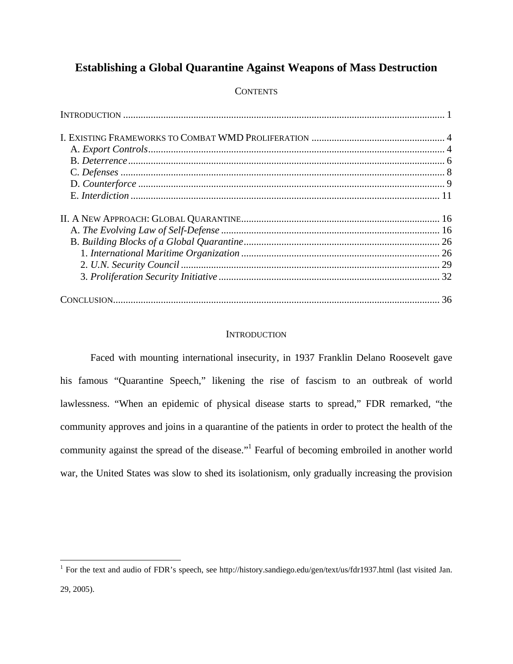# <span id="page-0-1"></span>**Establishing a Global Quarantine Against Weapons of Mass Destruction**

# **CONTENTS**

# **INTRODUCTION**

 Faced with mounting international insecurity, in 1937 Franklin Delano Roosevelt gave his famous "Quarantine Speech," likening the rise of fascism to an outbreak of world lawlessness. "When an epidemic of physical disease starts to spread," FDR remarked, "the community approves and joins in a quarantine of the patients in order to protect the health of the community against the spread of the disease."<sup>1</sup> Fearful of becoming embroiled in another world war, the United States was slow to shed its isolationism, only gradually increasing the provision

<span id="page-0-0"></span><sup>&</sup>lt;sup>1</sup> For the text and audio of FDR's speech, see <http://history.sandiego.edu/gen/text/us/fdr1937.html>(last visited Jan. 29, 2005).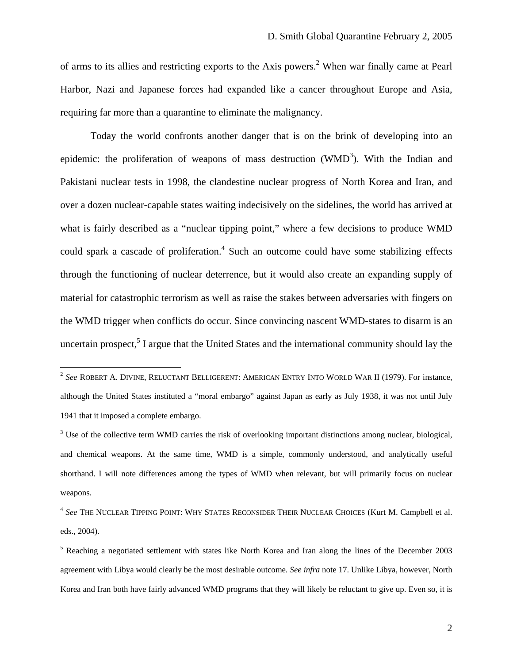of arms to its allies and restricting exports to the Axis powers.<sup>[2](#page-1-0)</sup> When war finally came at Pearl Harbor, Nazi and Japanese forces had expanded like a cancer throughout Europe and Asia, requiring far more than a quarantine to eliminate the malignancy.

Today the world confronts another danger that is on the brink of developing into an epidemic: the proliferation of weapons of mass destruction  $(WMD<sup>3</sup>)$  $(WMD<sup>3</sup>)$  $(WMD<sup>3</sup>)$ . With the Indian and Pakistani nuclear tests in 1998, the clandestine nuclear progress of North Korea and Iran, and over a dozen nuclear-capable states waiting indecisively on the sidelines, the world has arrived at what is fairly described as a "nuclear tipping point," where a few decisions to produce WMD could spark a cascade of proliferation.<sup>[4](#page-1-2)</sup> Such an outcome could have some stabilizing effects through the functioning of nuclear deterrence, but it would also create an expanding supply of material for catastrophic terrorism as well as raise the stakes between adversaries with fingers on the WMD trigger when conflicts do occur. Since convincing nascent WMD-states to disarm is an uncertain prospect,<sup>[5](#page-1-3)</sup> I argue that the United States and the international community should lay the

<span id="page-1-0"></span><sup>2</sup> *See* ROBERT A. DIVINE, RELUCTANT BELLIGERENT: AMERICAN ENTRY INTO WORLD WAR II (1979). For instance, although the United States instituted a "moral embargo" against Japan as early as July 1938, it was not until July 1941 that it imposed a complete embargo.

<span id="page-1-1"></span> $3$  Use of the collective term WMD carries the risk of overlooking important distinctions among nuclear, biological, and chemical weapons. At the same time, WMD is a simple, commonly understood, and analytically useful shorthand. I will note differences among the types of WMD when relevant, but will primarily focus on nuclear weapons.

<span id="page-1-2"></span><sup>4</sup> *See* THE NUCLEAR TIPPING POINT: WHY STATES RECONSIDER THEIR NUCLEAR CHOICES (Kurt M. Campbell et al. eds., 2004).

<span id="page-1-3"></span><sup>&</sup>lt;sup>5</sup> Reaching a negotiated settlement with states like North Korea and Iran along the lines of the December 2003 agreement with Libya would clearly be the most desirable outcome. *See infra* note 17. Unlike Libya, however, North Korea and Iran both have fairly advanced WMD programs that they will likely be reluctant to give up. Even so, it is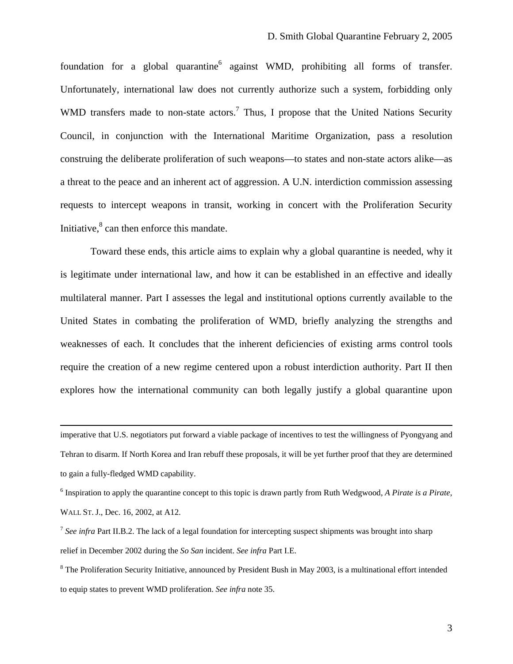foundation for a global quarantine<sup>[6](#page-2-0)</sup> against WMD, prohibiting all forms of transfer. Unfortunately, international law does not currently authorize such a system, forbidding only WMD transfers made to non-state actors.<sup>[7](#page-2-1)</sup> Thus, I propose that the United Nations Security Council, in conjunction with the International Maritime Organization, pass a resolution construing the deliberate proliferation of such weapons—to states and non-state actors alike—as a threat to the peace and an inherent act of aggression. A U.N. interdiction commission assessing requests to intercept weapons in transit, working in concert with the Proliferation Security Initiative, $^8$  $^8$  can then enforce this mandate.

Toward these ends, this article aims to explain why a global quarantine is needed, why it is legitimate under international law, and how it can be established in an effective and ideally multilateral manner. Part I assesses the legal and institutional options currently available to the United States in combating the proliferation of WMD, briefly analyzing the strengths and weaknesses of each. It concludes that the inherent deficiencies of existing arms control tools require the creation of a new regime centered upon a robust interdiction authority. Part II then explores how the international community can both legally justify a global quarantine upon

 imperative that U.S. negotiators put forward a viable package of incentives to test the willingness of Pyongyang and Tehran to disarm. If North Korea and Iran rebuff these proposals, it will be yet further proof that they are determined to gain a fully-fledged WMD capability.

<span id="page-2-0"></span>6 Inspiration to apply the quarantine concept to this topic is drawn partly from Ruth Wedgwood, *A Pirate is a Pirate*, WALL ST. J., Dec. 16, 2002, at A12.

<span id="page-2-1"></span><sup>&</sup>lt;sup>7</sup> See infra Part II.B.2. The lack of a legal foundation for intercepting suspect shipments was brought into sharp relief in December 2002 during the *So San* incident. *See infra* Part I.E.

<span id="page-2-2"></span> $8$  The Proliferation Security Initiative, announced by President Bush in May 2003, is a multinational effort intended to equip states to prevent WMD proliferation. *See infra* note 35.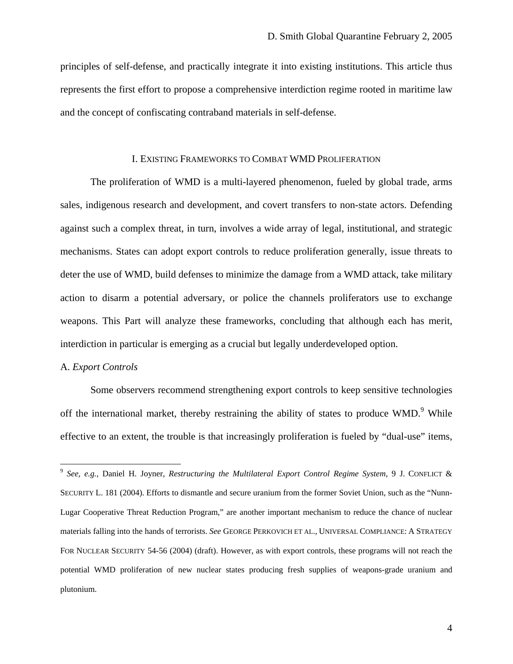<span id="page-3-0"></span>principles of self-defense, and practically integrate it into existing institutions. This article thus represents the first effort to propose a comprehensive interdiction regime rooted in maritime law and the concept of confiscating contraband materials in self-defense.

### I. EXISTING FRAMEWORKS TO COMBAT WMD PROLIFERATION

The proliferation of WMD is a multi-layered phenomenon, fueled by global trade, arms sales, indigenous research and development, and covert transfers to non-state actors. Defending against such a complex threat, in turn, involves a wide array of legal, institutional, and strategic mechanisms. States can adopt export controls to reduce proliferation generally, issue threats to deter the use of WMD, build defenses to minimize the damage from a WMD attack, take military action to disarm a potential adversary, or police the channels proliferators use to exchange weapons. This Part will analyze these frameworks, concluding that although each has merit, interdiction in particular is emerging as a crucial but legally underdeveloped option.

#### A. *Export Controls*

1

Some observers recommend strengthening export controls to keep sensitive technologies offthe international market, thereby restraining the ability of states to produce WMD.<sup>9</sup> While effective to an extent, the trouble is that increasingly proliferation is fueled by "dual-use" items,

<span id="page-3-1"></span><sup>9</sup> *See*, *e.g.*, Daniel H. Joyner, *Restructuring the Multilateral Export Control Regime System*, 9 J. CONFLICT & SECURITY L. 181 (2004). Efforts to dismantle and secure uranium from the former Soviet Union, such as the "Nunn-Lugar Cooperative Threat Reduction Program," are another important mechanism to reduce the chance of nuclear materials falling into the hands of terrorists. *See* GEORGE PERKOVICH ET AL., UNIVERSAL COMPLIANCE: A STRATEGY FOR NUCLEAR SECURITY 54-56 (2004) (draft). However, as with export controls, these programs will not reach the potential WMD proliferation of new nuclear states producing fresh supplies of weapons-grade uranium and plutonium.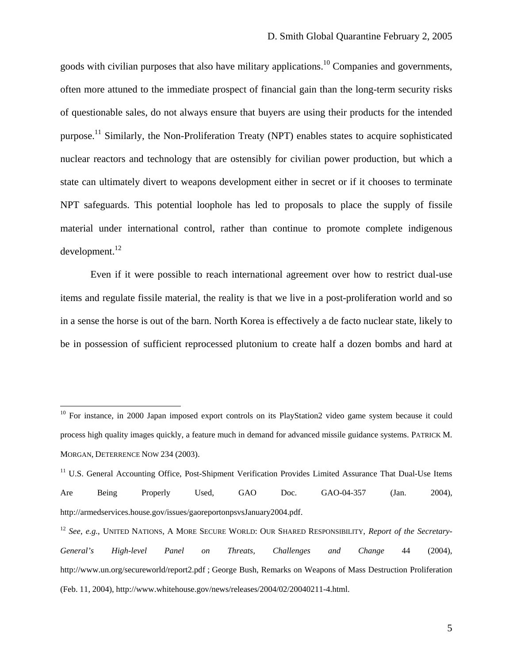goods with civilian purposes that also have military applications.<sup>10</sup> Companies and governments, often more attuned to the immediate prospect of financial gain than the long-term security risks of questionable sales, do not always ensure that buyers are using their products for the intended purpose.<sup>11</sup> Similarly, the Non-Proliferation Treaty (NPT) enables states to acquire sophisticated nuclear reactors and technology that are ostensibly for civilian power production, but which a state can ultimately divert to weapons development either in secret or if it chooses to terminate NPT safeguards. This potential loophole has led to proposals to place the supply of fissile material under international control, rather than continue to promote complete indigenous  $d$ evelopment.<sup>12</sup>

Even if it were possible to reach international agreement over how to restrict dual-use items and regulate fissile material, the reality is that we live in a post-proliferation world and so in a sense the horse is out of the barn. North Korea is effectively a de facto nuclear state, likely to be in possession of sufficient reprocessed plutonium to create half a dozen bombs and hard at

 $\overline{a}$ 

<span id="page-4-0"></span><sup>&</sup>lt;sup>10</sup> For instance, in 2000 Japan imposed export controls on its PlayStation2 video game system because it could process high quality images quickly, a feature much in demand for advanced missile guidance systems. PATRICK M. MORGAN, DETERRENCE NOW 234 (2003).

<span id="page-4-1"></span><sup>&</sup>lt;sup>11</sup> U.S. General Accounting Office, Post-Shipment Verification Provides Limited Assurance That Dual-Use Items Are Being Properly Used, GAO Doc. GAO-04-357 (Jan. 2004), http://armedservices.house.gov/issues/gaoreportonpsvsJanuary2004.pdf.

<span id="page-4-2"></span><sup>12</sup> *See*, *e.g.*, UNITED NATIONS, A MORE SECURE WORLD: OUR SHARED RESPONSIBILITY, *Report of the Secretary-General's High-level Panel on Threats, Challenges and Change* 44 (2004), http://www.un.org/secureworld/report2.pdf ; George Bush, Remarks on Weapons of Mass Destruction Proliferation (Feb. 11, 2004), http://www.whitehouse.gov/news/releases/2004/02/20040211-4.html.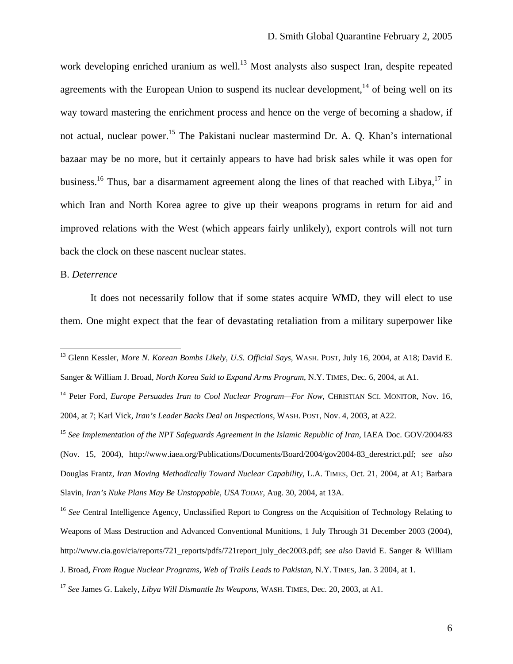<span id="page-5-0"></span>work developing enriched uranium as well.<sup>13</sup> Most analysts also suspect Iran, despite repeated agreements with the European Union to suspend its nuclear development,  $^{14}$  of being well on its way toward mastering the enrichment process and hence on the verge of becoming a shadow, if not actual, nuclear power.<sup>15</sup> The Pakistani nuclear mastermind Dr. A. Q. Khan's international bazaar may be no more, but it certainly appears to have had brisk sales while it was open for business.<sup>16</sup> Thus, bar a disarmament agreement along the lines of that reached with Libya,<sup>17</sup> in which Iran and North Korea agree to give up their weapons programs in return for aid and improved relations with the West (which appears fairly unlikely), export controls will not turn back the clock on these nascent nuclear states.

#### B. *Deterrence*

1

It does not necessarily follow that if some states acquire WMD, they will elect to use them. One might expect that the fear of devastating retaliation from a military superpower like

<span id="page-5-2"></span><sup>14</sup> Peter Ford, *Europe Persuades Iran to Cool Nuclear Program—For Now*, CHRISTIAN SCI. MONITOR, Nov. 16, 2004, at 7; Karl Vick, *Iran's Leader Backs Deal on Inspections*, WASH. POST, Nov. 4, 2003, at A22.

<span id="page-5-1"></span><sup>&</sup>lt;sup>13</sup> Glenn Kessler, *More N. Korean Bombs Likely, U.S. Official Says*, WASH. POST, July 16, 2004, at A18; David E. Sanger & William J. Broad, *North Korea Said to Expand Arms Program*, N.Y. TIMES, Dec. 6, 2004, at A1.

<span id="page-5-3"></span><sup>15</sup> *See Implementation of the NPT Safeguards Agreement in the Islamic Republic of Iran*, IAEA Doc. GOV/2004/83 (Nov. 15, 2004), http://www.iaea.org/Publications/Documents/Board/2004/gov2004-83\_derestrict.pdf; *see also* Douglas Frantz, *Iran Moving Methodically Toward Nuclear Capability*, L.A. TIMES, Oct. 21, 2004, at A1; Barbara Slavin, *Iran's Nuke Plans May Be Unstoppable*, *USA TODAY*, Aug. 30, 2004, at 13A.

<span id="page-5-4"></span><sup>&</sup>lt;sup>16</sup> See Central Intelligence Agency, Unclassified Report to Congress on the Acquisition of Technology Relating to Weapons of Mass Destruction and Advanced Conventional Munitions, 1 July Through 31 December 2003 (2004), http://www.cia.gov/cia/reports/721\_reports/pdfs/721report\_july\_dec2003.pdf; *see also* David E. Sanger & William J. Broad, *From Rogue Nuclear Programs, Web of Trails Leads to Pakistan*, N.Y. TIMES, Jan. 3 2004, at 1.

<span id="page-5-5"></span><sup>17</sup> *See* James G. Lakely, *Libya Will Dismantle Its Weapons*, WASH. TIMES, Dec. 20, 2003, at A1.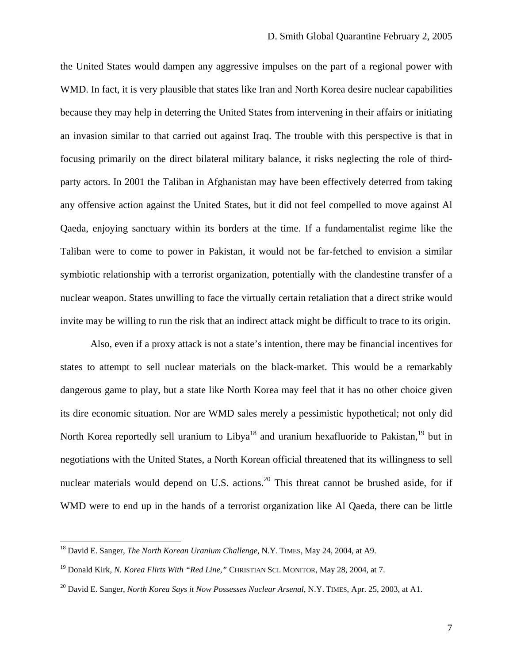the United States would dampen any aggressive impulses on the part of a regional power with WMD. In fact, it is very plausible that states like Iran and North Korea desire nuclear capabilities because they may help in deterring the United States from intervening in their affairs or initiating an invasion similar to that carried out against Iraq. The trouble with this perspective is that in focusing primarily on the direct bilateral military balance, it risks neglecting the role of thirdparty actors. In 2001 the Taliban in Afghanistan may have been effectively deterred from taking any offensive action against the United States, but it did not feel compelled to move against Al Qaeda, enjoying sanctuary within its borders at the time. If a fundamentalist regime like the Taliban were to come to power in Pakistan, it would not be far-fetched to envision a similar symbiotic relationship with a terrorist organization, potentially with the clandestine transfer of a nuclear weapon. States unwilling to face the virtually certain retaliation that a direct strike would invite may be willing to run the risk that an indirect attack might be difficult to trace to its origin.

Also, even if a proxy attack is not a state's intention, there may be financial incentives for states to attempt to sell nuclear materials on the black-market. This would be a remarkably dangerous game to play, but a state like North Korea may feel that it has no other choice given its dire economic situation. Nor are WMD sales merely a pessimistic hypothetical; not only did North Korea reportedly sell uranium to Libya<sup>18</sup> and uranium hexafluoride to Pakistan,<sup>19</sup> but in negotiations with the United States, a North Korean official threatened that its willingness to sell nuclear materials would depend on U.S. actions.<sup>20</sup> This threat cannot be brushed aside, for if WMD were to end up in the hands of a terrorist organization like Al Qaeda, there can be little

<span id="page-6-0"></span><sup>18</sup> David E. Sanger, *The North Korean Uranium Challenge*, N.Y. TIMES, May 24, 2004, at A9.

<span id="page-6-1"></span><sup>19</sup> Donald Kirk, *N. Korea Flirts With "Red Line*,*"* CHRISTIAN SCI. MONITOR, May 28, 2004, at 7.

<span id="page-6-2"></span><sup>20</sup> David E. Sanger, *North Korea Says it Now Possesses Nuclear Arsenal*, N.Y. TIMES, Apr. 25, 2003, at A1.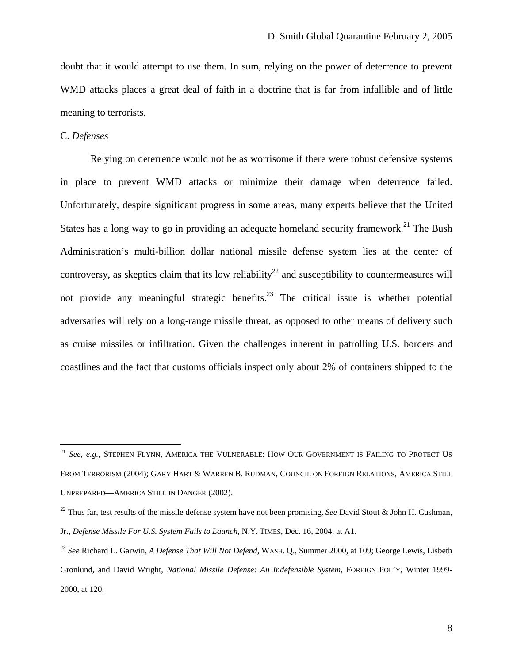<span id="page-7-0"></span>doubt that it would attempt to use them. In sum, relying on the power of deterrence to prevent WMD attacks places a great deal of faith in a doctrine that is far from infallible and of little meaning to terrorists.

#### C. *Defenses*

1

Relying on deterrence would not be as worrisome if there were robust defensive systems in place to prevent WMD attacks or minimize their damage when deterrence failed. Unfortunately, despite significant progress in some areas, many experts believe that the United States has a long way to go in providing an adequate homeland security framework.<sup>21</sup> The Bush Administration's multi-billion dollar national missile defense system lies at the center of controversy, as skeptics claim that its low reliability<sup>22</sup> and susceptibility to countermeasures will not provide any meaningful strategic benefits.<sup>23</sup> The critical issue is whether potential adversaries will rely on a long-range missile threat, as opposed to other means of delivery such as cruise missiles or infiltration. Given the challenges inherent in patrolling U.S. borders and coastlines and the fact that customs officials inspect only about 2% of containers shipped to the

<span id="page-7-1"></span><sup>21</sup> *See*, *e.g.*, STEPHEN FLYNN, AMERICA THE VULNERABLE: HOW OUR GOVERNMENT IS FAILING TO PROTECT US FROM TERRORISM (2004); GARY HART & WARREN B. RUDMAN, COUNCIL ON FOREIGN RELATIONS, AMERICA STILL UNPREPARED—AMERICA STILL IN DANGER (2002).

<span id="page-7-2"></span><sup>&</sup>lt;sup>22</sup> Thus far, test results of the missile defense system have not been promising. *See* David Stout & John H. Cushman, Jr., *Defense Missile For U.S. System Fails to Launch*, N.Y. TIMES, Dec. 16, 2004, at A1.

<span id="page-7-3"></span><sup>23</sup> *See* Richard L. Garwin, *A Defense That Will Not Defend*, WASH. Q., Summer 2000, at 109; George Lewis, Lisbeth Gronlund, and David Wright, *National Missile Defense: An Indefensible System*, FOREIGN POL'Y, Winter 1999- 2000, at 120.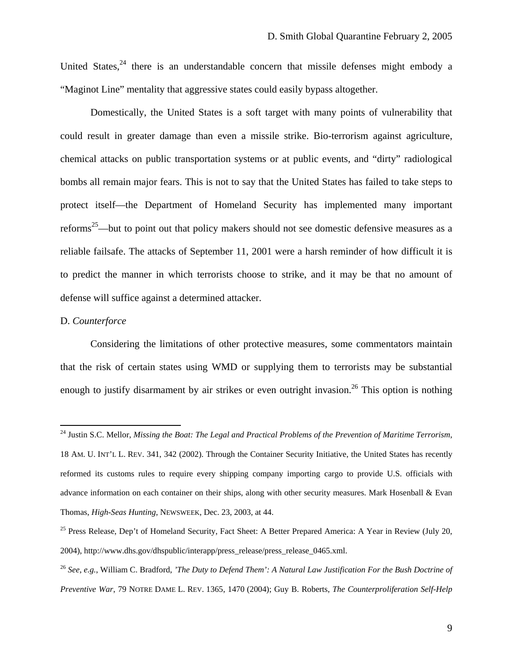<span id="page-8-0"></span>United States,  $24$  there is an understandable concern that missile defenses might embody a "Maginot Line" mentality that aggressive states could easily bypass altogether.

Domestically, the United States is a soft target with many points of vulnerability that could result in greater damage than even a missile strike. Bio-terrorism against agriculture, chemical attacks on public transportation systems or at public events, and "dirty" radiological bombs all remain major fears. This is not to say that the United States has failed to take steps to protect itself—the Department of Homeland Security has implemented many important reforms<sup>25</sup>—but to point out that policy makers should not see domestic defensive measures as a reliable failsafe. The attacks of September 11, 2001 were a harsh reminder of how difficult it is to predict the manner in which terrorists choose to strike, and it may be that no amount of defense will suffice against a determined attacker.

#### D. *Counterforce*

1

Considering the limitations of other protective measures, some commentators maintain that the risk of certain states using WMD or supplying them to terrorists may be substantial enough to justify disarmament by air strikes or even outright invasion.<sup>26</sup> This option is nothing

<span id="page-8-1"></span><sup>24</sup> Justin S.C. Mellor, *Missing the Boat: The Legal and Practical Problems of the Prevention of Maritime Terrorism*, 18 AM. U. INT'L L. REV. 341, 342 (2002). Through the Container Security Initiative, the United States has recently reformed its customs rules to require every shipping company importing cargo to provide U.S. officials with advance information on each container on their ships, along with other security measures. Mark Hosenball & Evan Thomas, *High-Seas Hunting*, NEWSWEEK, Dec. 23, 2003, at 44.

<span id="page-8-2"></span><sup>&</sup>lt;sup>25</sup> Press Release, Dep't of Homeland Security, Fact Sheet: A Better Prepared America: A Year in Review (July 20, 2004), http://www.dhs.gov/dhspublic/interapp/press\_release/press\_release\_0465.xml.

<span id="page-8-3"></span><sup>26</sup> *See*, *e.g.*, William C. Bradford, *'The Duty to Defend Them': A Natural Law Justification For the Bush Doctrine of Preventive War*, 79 NOTRE DAME L. REV. 1365, 1470 (2004); Guy B. Roberts, *The Counterproliferation Self-Help*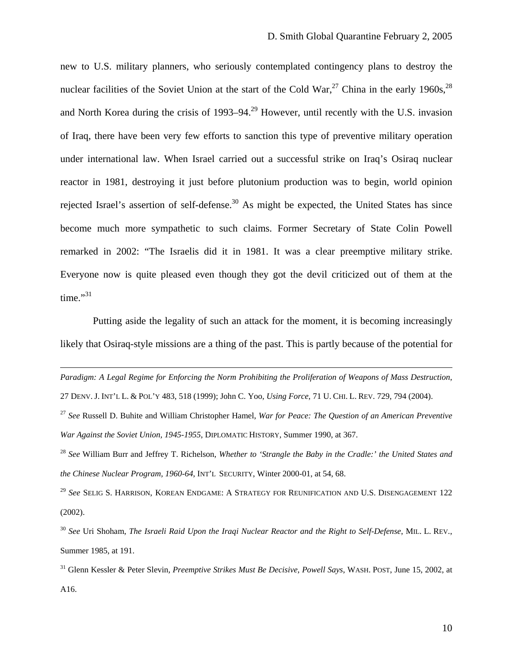new to U.S. military planners, who seriously contemplated contingency plans to destroy the nuclear facilities of the Soviet Union at the start of the Cold War,<sup>27</sup> China in the early 1960s,  $^{28}$ and North Korea during the crisis of 1993–94.<sup>29</sup> However, until recently with the U.S. invasion of Iraq, there have been very few efforts to sanction this type of preventive military operation under international law. When Israel carried out a successful strike on Iraq's Osiraq nuclear reactor in 1981, destroying it just before plutonium production was to begin, world opinion rejected Israel's assertion of self-defense.<sup>30</sup> As might be expected, the United States has since become much more sympathetic to such claims. Former Secretary of State Colin Powell remarked in 2002: "The Israelis did it in 1981. It was a clear preemptive military strike. Everyone now is quite pleased even though they got the devil criticized out of them at the time."31

Putting aside the legality of such an attack for the moment, it is becoming increasingly likely that Osiraq-style missions are a thing of the past. This is partly because of the potential for

 $\overline{a}$ 

<span id="page-9-2"></span><sup>29</sup> *See* SELIG S. HARRISON, KOREAN ENDGAME: A STRATEGY FOR REUNIFICATION AND U.S. DISENGAGEMENT 122 (2002).

*Paradigm: A Legal Regime for Enforcing the Norm Prohibiting the Proliferation of Weapons of Mass Destruction*, 27 DENV. J. INT'L L. & POL'Y 483, 518 (1999); John C. Yoo, *Using Force*, 71 U. CHI. L. REV. 729, 794 (2004).

<span id="page-9-0"></span><sup>27</sup> *See* Russell D. Buhite and William Christopher Hamel, *War for Peace: The Question of an American Preventive War Against the Soviet Union, 1945-1955*, DIPLOMATIC HISTORY, Summer 1990, at 367.

<span id="page-9-1"></span><sup>28</sup> *See* William Burr and Jeffrey T. Richelson, *Whether to 'Strangle the Baby in the Cradle:' the United States and the Chinese Nuclear Program, 1960-64*, INT'L SECURITY, Winter 2000-01, at 54, 68.

<span id="page-9-3"></span><sup>30</sup> *See* Uri Shoham, *The Israeli Raid Upon the Iraqi Nuclear Reactor and the Right to Self-Defense*, MIL. L. REV., Summer 1985, at 191.

<span id="page-9-4"></span><sup>31</sup> Glenn Kessler & Peter Slevin*, Preemptive Strikes Must Be Decisive, Powell Says*, WASH. POST, June 15, 2002, at A16.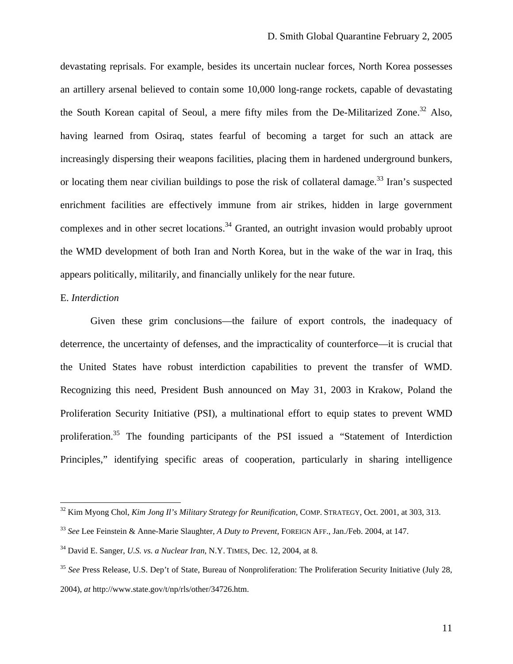<span id="page-10-0"></span>devastating reprisals. For example, besides its uncertain nuclear forces, North Korea possesses an artillery arsenal believed to contain some 10,000 long-range rockets, capable of devastating the South Korean capital of Seoul, a mere fifty miles from the De-Militarized Zone.<sup>32</sup> Also, having learned from Osiraq, states fearful of becoming a target for such an attack are increasingly dispersing their weapons facilities, placing them in hardened underground bunkers, or locating them near civilian buildings to pose the risk of collateral damage.<sup>33</sup> Iran's suspected enrichment facilities are effectively immune from air strikes, hidden in large government complexes and in other secret locations.<sup>34</sup> Granted, an outright invasion would probably uproot the WMD development of both Iran and North Korea, but in the wake of the war in Iraq, this appears politically, militarily, and financially unlikely for the near future.

#### E. *Interdiction*

 $\overline{a}$ 

Given these grim conclusions—the failure of export controls, the inadequacy of deterrence, the uncertainty of defenses, and the impracticality of counterforce—it is crucial that the United States have robust interdiction capabilities to prevent the transfer of WMD. Recognizing this need, President Bush announced on May 31, 2003 in Krakow, Poland the Proliferation Security Initiative (PSI), a multinational effort to equip states to prevent WMD proliferation.<sup>35</sup> The founding participants of the PSI issued a "Statement of Interdiction Principles," identifying specific areas of cooperation, particularly in sharing intelligence

<span id="page-10-1"></span><sup>32</sup> Kim Myong Chol, *Kim Jong Il's Military Strategy for Reunification*, COMP. STRATEGY, Oct. 2001, at 303, 313.

<span id="page-10-2"></span><sup>33</sup> *See* Lee Feinstein & Anne-Marie Slaughter, *A Duty to Prevent*, FOREIGN AFF., Jan./Feb. 2004, at 147.

<span id="page-10-3"></span><sup>34</sup> David E. Sanger, *U.S. vs. a Nuclear Iran*, N.Y. TIMES, Dec. 12, 2004, at 8.

<span id="page-10-4"></span><sup>35</sup> *See* Press Release, U.S. Dep't of State, Bureau of Nonproliferation: The Proliferation Security Initiative (July 28, 2004), *at* http://www.state.gov/t/np/rls/other/34726.htm.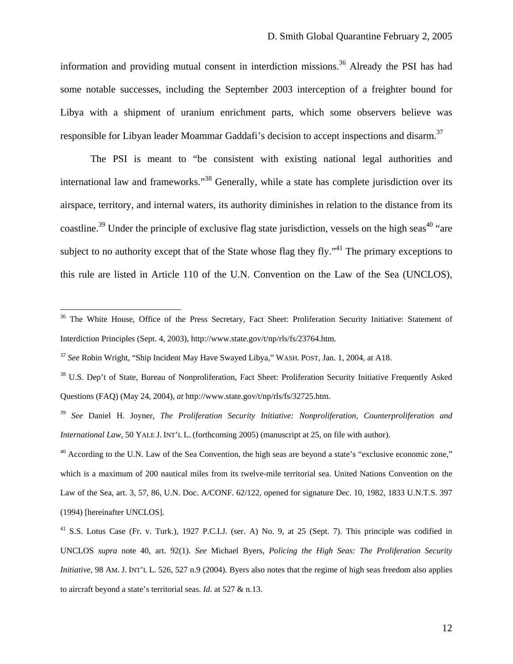information and providing mutual consent in interdiction missions.<sup>36</sup> Already the PSI has had some notable successes, including the September 2003 interception of a freighter bound for Libya with a shipment of uranium enrichment parts, which some observers believe was responsible for Libyan leader Moammar Gaddafi's decision to accept inspections and disarm.<sup>37</sup>

The PSI is meant to "be consistent with existing national legal authorities and international law and frameworks."[38](#page-11-2) Generally, while a state has complete jurisdiction over its airspace, territory, and internal waters, its authority diminishes in relation to the distance from its coastline.<sup>39</sup> Under the principle of exclusive flag state jurisdiction, vessels on the high seas<sup>40</sup> "are subject to no authority except that of the State whose flag they fly."<sup>41</sup> The primary exceptions to this rule are listed in Article 110 of the U.N. Convention on the Law of the Sea (UNCLOS),

<u>.</u>

<span id="page-11-0"></span><sup>&</sup>lt;sup>36</sup> The White House, Office of the Press Secretary, Fact Sheet: Proliferation Security Initiative: Statement of Interdiction Principles (Sept. 4, 2003), http://www.state.gov/t/np/rls/fs/23764.htm.

<span id="page-11-1"></span><sup>37</sup> *See* Robin Wright, "Ship Incident May Have Swayed Libya," WASH. POST*,* Jan. 1, 2004, at A18.

<span id="page-11-2"></span><sup>&</sup>lt;sup>38</sup> U.S. Dep't of State, Bureau of Nonproliferation, Fact Sheet: Proliferation Security Initiative Frequently Asked Questions (FAQ) (May 24, 2004), *at* http://www.state.gov/t/np/rls/fs/32725.htm.

<span id="page-11-3"></span><sup>39</sup> *See* Daniel H. Joyner, *The Proliferation Security Initiative: Nonproliferation, Counterproliferation and International Law*, 50 YALE J. INT'L L. (forthcoming 2005) (manuscript at 25, on file with author).

<span id="page-11-4"></span> $40$  According to the U.N. Law of the Sea Convention, the high seas are beyond a state's "exclusive economic zone," which is a maximum of 200 nautical miles from its twelve-mile territorial sea. United Nations Convention on the Law of the Sea, art. 3, 57, 86, U.N. Doc. A/CONF. 62/122, opened for signature Dec. 10, 1982, 1833 U.N.T.S. 397 (1994) [hereinafter UNCLOS].

<span id="page-11-5"></span><sup>&</sup>lt;sup>41</sup> S.S. Lotus Case (Fr. v. Turk.), 1927 P.C.I.J. (ser. A) No. 9, at 25 (Sept. 7). This principle was codified in UNCLOS *supra* note 40, art. 92(1). *See* Michael Byers, *Policing the High Seas: The Proliferation Security Initiative*, 98 AM. J. INT'L L. 526, 527 n.9 (2004). Byers also notes that the regime of high seas freedom also applies to aircraft beyond a state's territorial seas. *Id*. at 527 & n.13.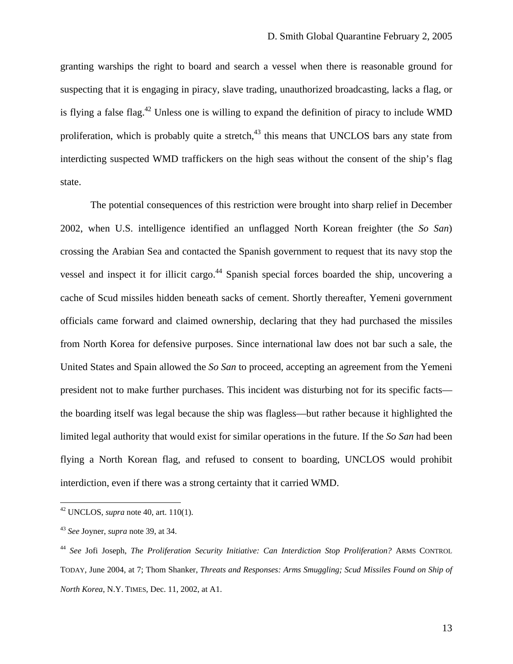granting warships the right to board and search a vessel when there is reasonable ground for suspecting that it is engaging in piracy, slave trading, unauthorized broadcasting, lacks a flag, or is flying a false flag.<sup>42</sup> Unless one is willing to expand the definition of piracy to include WMD proliferation, which is probably quite a stretch, $43$  this means that UNCLOS bars any state from interdicting suspected WMD traffickers on the high seas without the consent of the ship's flag state.

The potential consequences of this restriction were brought into sharp relief in December 2002, when U.S. intelligence identified an unflagged North Korean freighter (the *So San*) crossing the Arabian Sea and contacted the Spanish government to request that its navy stop the vessel and inspect it for illicit cargo.<sup>44</sup> Spanish special forces boarded the ship, uncovering a cache of Scud missiles hidden beneath sacks of cement. Shortly thereafter, Yemeni government officials came forward and claimed ownership, declaring that they had purchased the missiles from North Korea for defensive purposes. Since international law does not bar such a sale, the United States and Spain allowed the *So San* to proceed, accepting an agreement from the Yemeni president not to make further purchases. This incident was disturbing not for its specific facts the boarding itself was legal because the ship was flagless—but rather because it highlighted the limited legal authority that would exist for similar operations in the future. If the *So San* had been flying a North Korean flag, and refused to consent to boarding, UNCLOS would prohibit interdiction, even if there was a strong certainty that it carried WMD.

<span id="page-12-0"></span><sup>42</sup> UNCLOS, *supra* note 40, art. 110(1).

<span id="page-12-1"></span><sup>43</sup> *See* Joyner, *supra* note 39, at 34.

<span id="page-12-2"></span><sup>44</sup> *See* Jofi Joseph, *The Proliferation Security Initiative: Can Interdiction Stop Proliferation?* ARMS CONTROL TODAY, June 2004, at 7; Thom Shanker, *Threats and Responses: Arms Smuggling; Scud Missiles Found on Ship of North Korea*, N.Y. TIMES, Dec. 11, 2002, at A1.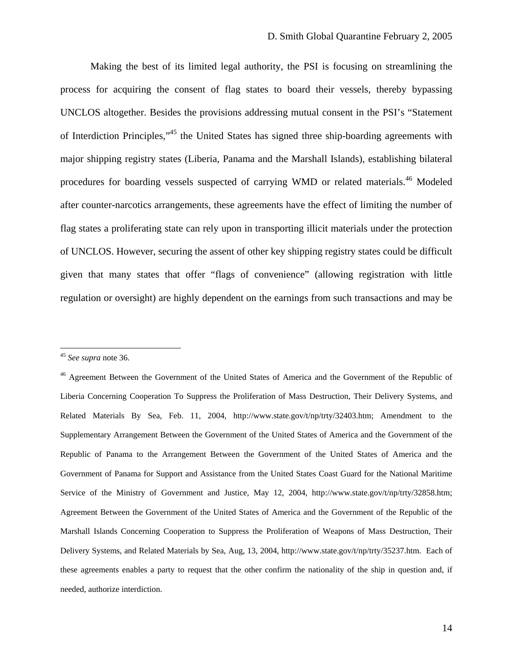Making the best of its limited legal authority, the PSI is focusing on streamlining the process for acquiring the consent of flag states to board their vessels, thereby bypassing UNCLOS altogether. Besides the provisions addressing mutual consent in the PSI's "Statement of Interdiction Principles,"[45](#page-13-0) the United States has signed three ship-boarding agreements with major shipping registry states (Liberia, Panama and the Marshall Islands), establishing bilateral procedures for boarding vessels suspected of carrying WMD or related materials.<sup>46</sup> Modeled after counter-narcotics arrangements, these agreements have the effect of limiting the number of flag states a proliferating state can rely upon in transporting illicit materials under the protection of UNCLOS. However, securing the assent of other key shipping registry states could be difficult given that many states that offer "flags of convenience" (allowing registration with little regulation or oversight) are highly dependent on the earnings from such transactions and may be

<span id="page-13-0"></span><sup>45</sup> *See supra* note 36.

<span id="page-13-1"></span><sup>46</sup> Agreement Between the Government of the United States of America and the Government of the Republic of Liberia Concerning Cooperation To Suppress the Proliferation of Mass Destruction, Their Delivery Systems, and Related Materials By Sea, Feb. 11, 2004, <http://www.state.gov/t/np/trty/32403.htm>; Amendment to the Supplementary Arrangement Between the Government of the United States of America and the Government of the Republic of Panama to the Arrangement Between the Government of the United States of America and the Government of Panama for Support and Assistance from the United States Coast Guard for the National Maritime Service of the Ministry of Government and Justice, May 12, 2004, <http://www.state.gov/t/np/trty/32858.htm>; Agreement Between the Government of the United States of America and the Government of the Republic of the Marshall Islands Concerning Cooperation to Suppress the Proliferation of Weapons of Mass Destruction, Their Delivery Systems, and Related Materials by Sea, Aug, 13, 2004, [http://www.state.gov/t/np/trty/35237.htm.](http://www.state.gov/t/np/trty/35237.htm) Each of these agreements enables a party to request that the other confirm the nationality of the ship in question and, if needed, authorize interdiction.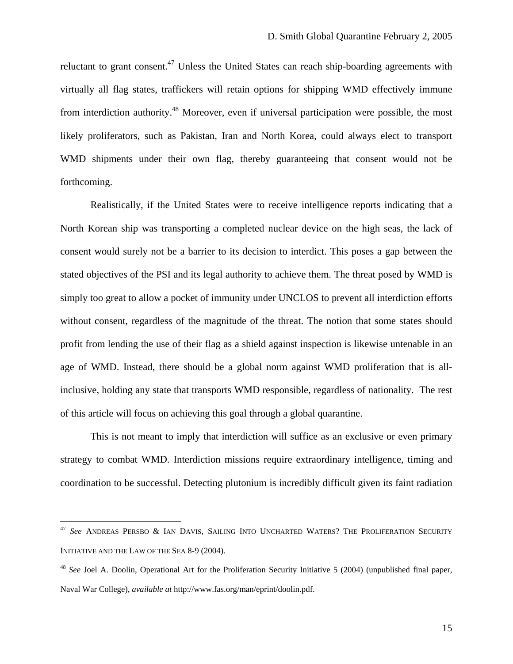reluctant to grant consent.<sup>47</sup> Unless the United States can reach ship-boarding agreements with virtually all flag states, traffickers will retain options for shipping WMD effectively immune from interdiction authority.<sup>48</sup> Moreover, even if universal participation were possible, the most likely proliferators, such as Pakistan, Iran and North Korea, could always elect to transport WMD shipments under their own flag, thereby guaranteeing that consent would not be forthcoming.

Realistically, if the United States were to receive intelligence reports indicating that a North Korean ship was transporting a completed nuclear device on the high seas, the lack of consent would surely not be a barrier to its decision to interdict. This poses a gap between the stated objectives of the PSI and its legal authority to achieve them. The threat posed by WMD is simply too great to allow a pocket of immunity under UNCLOS to prevent all interdiction efforts without consent, regardless of the magnitude of the threat. The notion that some states should profit from lending the use of their flag as a shield against inspection is likewise untenable in an age of WMD. Instead, there should be a global norm against WMD proliferation that is allinclusive, holding any state that transports WMD responsible, regardless of nationality. The rest of this article will focus on achieving this goal through a global quarantine.

This is not meant to imply that interdiction will suffice as an exclusive or even primary strategy to combat WMD. Interdiction missions require extraordinary intelligence, timing and coordination to be successful. Detecting plutonium is incredibly difficult given its faint radiation

 $\overline{a}$ 

<span id="page-14-0"></span><sup>47</sup> *See* ANDREAS PERSBO & IAN DAVIS, SAILING INTO UNCHARTED WATERS? THE PROLIFERATION SECURITY INITIATIVE AND THE LAW OF THE SEA 8-9 (2004).

<span id="page-14-1"></span><sup>48</sup> *See* Joel A. Doolin, Operational Art for the Proliferation Security Initiative 5 (2004) (unpublished final paper, Naval War College), *available at* http://www.fas.org/man/eprint/doolin.pdf.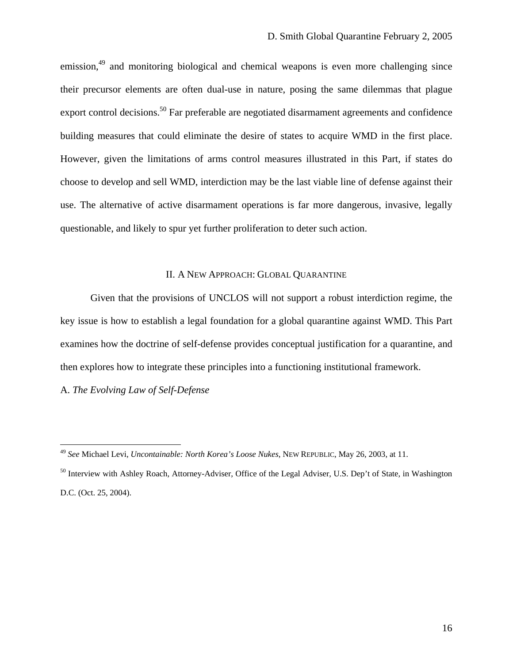<span id="page-15-0"></span>emission,<sup>49</sup> and monitoring biological and chemical weapons is even more challenging since their precursor elements are often dual-use in nature, posing the same dilemmas that plague export control decisions.<sup>50</sup> Far preferable are negotiated disarmament agreements and confidence building measures that could eliminate the desire of states to acquire WMD in the first place. However, given the limitations of arms control measures illustrated in this Part, if states do choose to develop and sell WMD, interdiction may be the last viable line of defense against their use. The alternative of active disarmament operations is far more dangerous, invasive, legally questionable, and likely to spur yet further proliferation to deter such action.

### II. A NEW APPROACH: GLOBAL QUARANTINE

Given that the provisions of UNCLOS will not support a robust interdiction regime, the key issue is how to establish a legal foundation for a global quarantine against WMD. This Part examines how the doctrine of self-defense provides conceptual justification for a quarantine, and then explores how to integrate these principles into a functioning institutional framework.

A. *The Evolving Law of Self-Defense*

1

<span id="page-15-2"></span><sup>50</sup> Interview with Ashley Roach, Attorney-Adviser, Office of the Legal Adviser, U.S. Dep't of State, in Washington D.C. (Oct. 25, 2004).

<span id="page-15-1"></span><sup>49</sup> *See* Michael Levi, *Uncontainable: North Korea's Loose Nukes*, NEW REPUBLIC, May 26, 2003, at 11.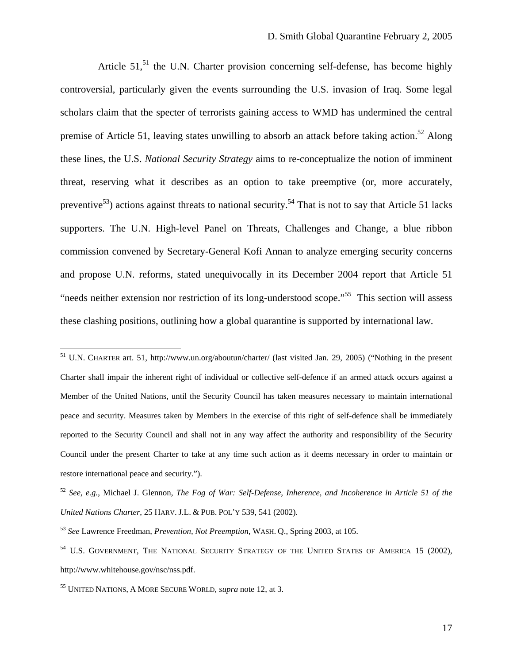Article  $51<sup>51</sup>$  the U.N. Charter provision concerning self-defense, has become highly controversial, particularly given the events surrounding the U.S. invasion of Iraq. Some legal scholars claim that the specter of terrorists gaining access to WMD has undermined the central premise of Article 51, leaving states unwilling to absorb an attack before taking action.<sup>52</sup> Along these lines, the U.S. *National Security Strategy* aims to re-conceptualize the notion of imminent threat, reserving what it describes as an option to take preemptive (or, more accurately, preventive<sup>53</sup>) actions against threats to national security.<sup>54</sup> That is not to say that Article 51 lacks supporters. The U.N. High-level Panel on Threats, Challenges and Change, a blue ribbon commission convened by Secretary-General Kofi Annan to analyze emerging security concerns and propose U.N. reforms, stated unequivocally in its December 2004 report that Article 51 "needs neither extension nor restriction of its long-understood scope."<sup>55</sup> This section will assess these clashing positions, outlining how a global quarantine is supported by international law.

 $\overline{a}$ 

<span id="page-16-0"></span><sup>&</sup>lt;sup>51</sup> U.N. CHARTER art. 51, <http://www.un.org/aboutun/charter/>(last visited Jan. 29, 2005) ("Nothing in the present Charter shall impair the inherent right of individual or collective self-defence if an armed attack occurs against a Member of the United Nations, until the Security Council has taken measures necessary to maintain international peace and security. Measures taken by Members in the exercise of this right of self-defence shall be immediately reported to the Security Council and shall not in any way affect the authority and responsibility of the Security Council under the present Charter to take at any time such action as it deems necessary in order to maintain or restore international peace and security.").

<span id="page-16-1"></span><sup>52</sup> *See*, *e.g.*, Michael J. Glennon, *The Fog of War: Self-Defense, Inherence, and Incoherence in Article 51 of the United Nations Charter*, 25 HARV. J.L. & PUB. POL'Y 539, 541 (2002).

<span id="page-16-2"></span><sup>53</sup> *See* Lawrence Freedman, *Prevention, Not Preemption*, WASH. Q., Spring 2003, at 105.

<span id="page-16-3"></span><sup>&</sup>lt;sup>54</sup> U.S. GOVERNMENT, THE NATIONAL SECURITY STRATEGY OF THE UNITED STATES OF AMERICA 15 (2002), http://www.whitehouse.gov/nsc/nss.pdf.

<span id="page-16-4"></span><sup>55</sup> UNITED NATIONS, A MORE SECURE WORLD, *supra* note 12, at 3.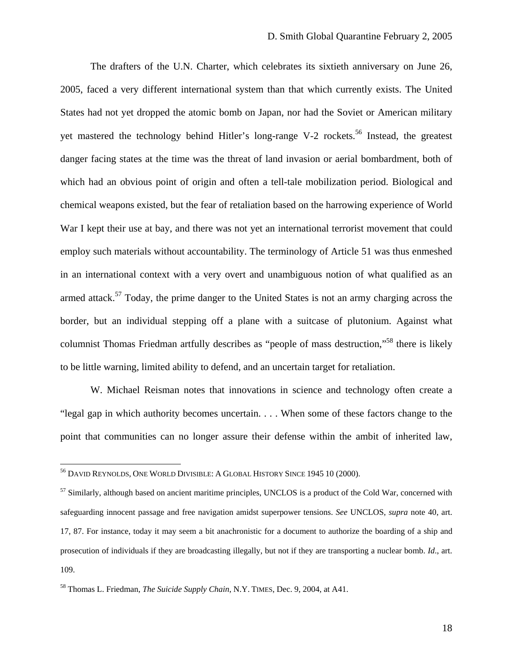The drafters of the U.N. Charter, which celebrates its sixtieth anniversary on June 26, 2005, faced a very different international system than that which currently exists. The United States had not yet dropped the atomic bomb on Japan, nor had the Soviet or American military yet mastered the technology behind Hitler's long-range V-2 rockets.<sup>56</sup> Instead, the greatest danger facing states at the time was the threat of land invasion or aerial bombardment, both of which had an obvious point of origin and often a tell-tale mobilization period. Biological and chemical weapons existed, but the fear of retaliation based on the harrowing experience of World War I kept their use at bay, and there was not yet an international terrorist movement that could employ such materials without accountability. The terminology of Article 51 was thus enmeshed in an international context with a very overt and unambiguous notion of what qualified as an armed attack.<sup>57</sup> Today, the prime danger to the United States is not an army charging across the border, but an individual stepping off a plane with a suitcase of plutonium. Against what columnist Thomas Friedman artfully describes as "people of mass destruction,"<sup>58</sup> there is likely to be little warning, limited ability to defend, and an uncertain target for retaliation.

W. Michael Reisman notes that innovations in science and technology often create a "legal gap in which authority becomes uncertain. . . . When some of these factors change to the point that communities can no longer assure their defense within the ambit of inherited law,

<span id="page-17-0"></span><sup>56</sup> DAVID REYNOLDS, ONE WORLD DIVISIBLE: A GLOBAL HISTORY SINCE 1945 10 (2000).

<span id="page-17-1"></span><sup>&</sup>lt;sup>57</sup> Similarly, although based on ancient maritime principles, UNCLOS is a product of the Cold War, concerned with safeguarding innocent passage and free navigation amidst superpower tensions. *See* UNCLOS, *supra* note 40, art. 17, 87. For instance, today it may seem a bit anachronistic for a document to authorize the boarding of a ship and prosecution of individuals if they are broadcasting illegally, but not if they are transporting a nuclear bomb. *Id*., art. 109.

<span id="page-17-2"></span><sup>58</sup> Thomas L. Friedman, *The Suicide Supply Chain*, N.Y. TIMES, Dec. 9, 2004, at A41.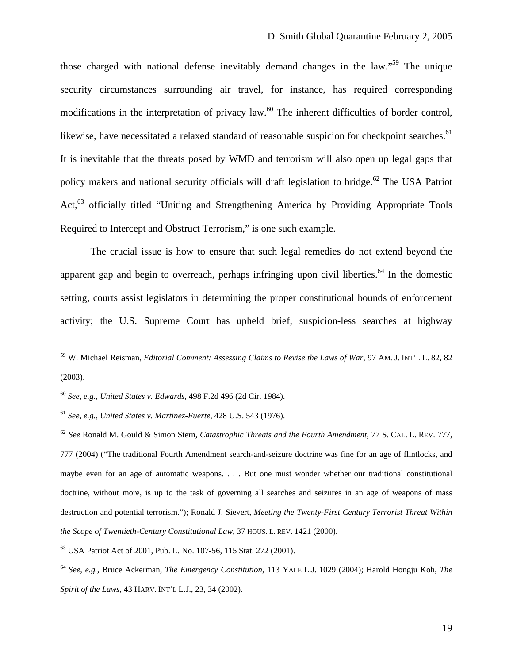those charged with national defense inevitably demand changes in the law."[59](#page-18-0) The unique security circumstances surrounding air travel, for instance, has required corresponding modifications in the interpretation of privacy law.<sup>60</sup> The inherent difficulties of border control, likewise, have necessitated a relaxed standard of reasonable suspicion for checkpoint searches.<sup>61</sup> It is inevitable that the threats posed by WMD and terrorism will also open up legal gaps that policy makers and national security officials will draft legislation to bridge.<sup>62</sup> The USA Patriot Act,<sup>63</sup> officially titled "Uniting and Strengthening America by Providing Appropriate Tools Required to Intercept and Obstruct Terrorism," is one such example.

The crucial issue is how to ensure that such legal remedies do not extend beyond the apparent gap and begin to overreach, perhaps infringing upon civil liberties.<sup> $64$ </sup> In the domestic setting, courts assist legislators in determining the proper constitutional bounds of enforcement activity; the U.S. Supreme Court has upheld brief, suspicion-less searches at highway

<span id="page-18-1"></span><sup>60</sup> *See*, *e.g.*, *United States v. Edwards*, 498 F.2d 496 (2d Cir. 1984).

 $\overline{a}$ 

<span id="page-18-2"></span><sup>61</sup> *See*, *e.g.*, *United States v. Martinez-Fuerte*, 428 U.S. 543 (1976).

<span id="page-18-3"></span><sup>62</sup> *See* Ronald M. Gould & Simon Stern, *Catastrophic Threats and the Fourth Amendment*, 77 S. CAL. L. REV. 777, 777 (2004) ("The traditional Fourth Amendment search-and-seizure doctrine was fine for an age of flintlocks, and maybe even for an age of automatic weapons. . . . But one must wonder whether our traditional constitutional doctrine, without more, is up to the task of governing all searches and seizures in an age of weapons of mass destruction and potential terrorism."); Ronald J. Sievert, *Meeting the Twenty-First Century Terrorist Threat Within the Scope of Twentieth-Century Constitutional Law*, 37 HOUS. L. REV. 1421 (2000).

<span id="page-18-4"></span>63 USA Patriot Act of 2001, Pub. L. No. 107-56, 115 Stat. 272 (2001).

<span id="page-18-5"></span><sup>64</sup> *See*, *e.g.*, Bruce Ackerman, *The Emergency Constitution*, 113 YALE L.J. 1029 (2004); Harold Hongju Koh, *The Spirit of the Laws*, 43 HARV. INT'L L.J., 23, 34 (2002).

<span id="page-18-0"></span><sup>59</sup> W. Michael Reisman, *Editorial Comment: Assessing Claims to Revise the Laws of War*, 97 AM. J. INT'L L. 82, 82 (2003).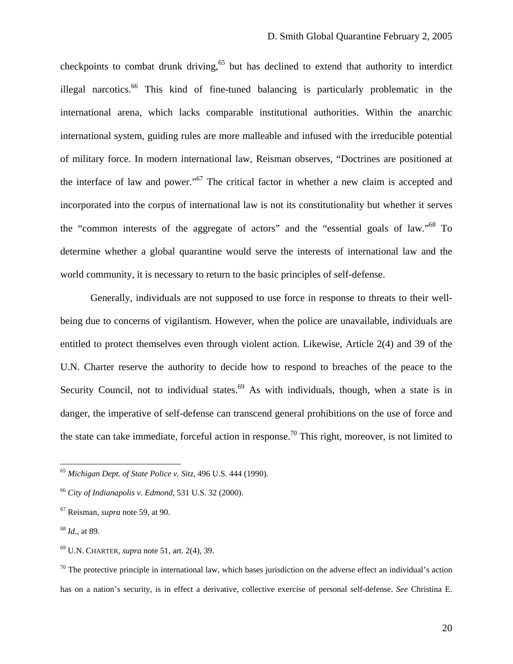checkpoints to combat drunk driving,<sup>65</sup> but has declined to extend that authority to interdict illegal narcotics.[66](#page-19-1) This kind of fine-tuned balancing is particularly problematic in the international arena, which lacks comparable institutional authorities. Within the anarchic international system, guiding rules are more malleable and infused with the irreducible potential of military force. In modern international law, Reisman observes, "Doctrines are positioned at the interface of law and power."[67](#page-19-2) The critical factor in whether a new claim is accepted and incorporated into the corpus of international law is not its constitutionality but whether it serves the "common interests of the aggregate of actors" and the "essential goals of law.["68](#page-19-3) To determine whether a global quarantine would serve the interests of international law and the world community, it is necessary to return to the basic principles of self-defense.

Generally, individuals are not supposed to use force in response to threats to their wellbeing due to concerns of vigilantism. However, when the police are unavailable, individuals are entitled to protect themselves even through violent action. Likewise, Article 2(4) and 39 of the U.N. Charter reserve the authority to decide how to respond to breaches of the peace to the Security Council, not to individual states.<sup>69</sup> As with individuals, though, when a state is in danger, the imperative of self-defense can transcend general prohibitions on the use of force and the state can take immediate, forceful action in response.<sup>70</sup> This right, moreover, is not limited to

1

<span id="page-19-5"></span> $70$  The protective principle in international law, which bases jurisdiction on the adverse effect an individual's action has on a nation's security, is in effect a derivative, collective exercise of personal self-defense. *See* Christina E.

<span id="page-19-0"></span><sup>65</sup> *Michigan Dept. of State Police v. Sitz*, 496 U.S. 444 (1990).

<span id="page-19-1"></span><sup>66</sup> *City of Indianapolis v. Edmond*, 531 U.S. 32 (2000).

<span id="page-19-2"></span><sup>67</sup> Reisman, *supra* note 59, at 90.

<span id="page-19-3"></span><sup>68</sup> *Id*., at 89.

<span id="page-19-4"></span><sup>69</sup> U.N. CHARTER, *supra* note 51, art. 2(4), 39.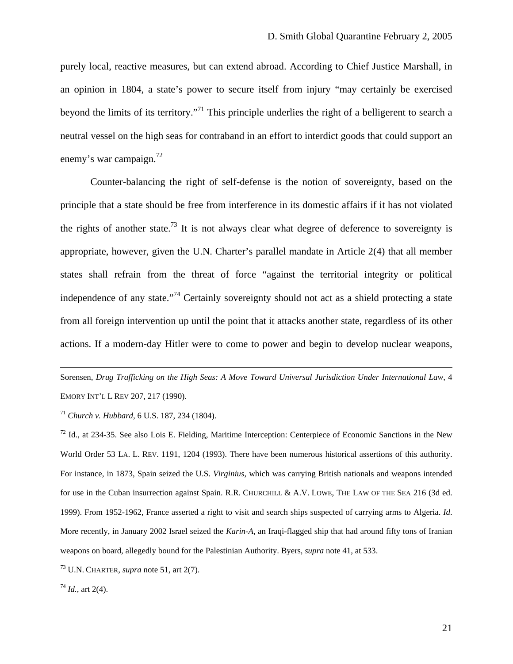purely local, reactive measures, but can extend abroad. According to Chief Justice Marshall, in an opinion in 1804, a state's power to secure itself from injury "may certainly be exercised beyond the limits of its territory."[71](#page-20-0) This principle underlies the right of a belligerent to search a neutral vessel on the high seas for contraband in an effort to interdict goods that could support an enemy's war campaign.<sup>72</sup>

Counter-balancing the right of self-defense is the notion of sovereignty, based on the principle that a state should be free from interference in its domestic affairs if it has not violated the rights of another state.<sup>73</sup> It is not always clear what degree of deference to sovereignty is appropriate, however, given the U.N. Charter's parallel mandate in Article 2(4) that all member states shall refrain from the threat of force "against the territorial integrity or political independence of any state.["74](#page-20-3) Certainly sovereignty should not act as a shield protecting a state from all foreign intervention up until the point that it attacks another state, regardless of its other actions. If a modern-day Hitler were to come to power and begin to develop nuclear weapons,

 Sorensen, *Drug Trafficking on the High Seas: A Move Toward Universal Jurisdiction Under International Law*, 4 EMORY INT'L L REV 207, 217 (1990).

<span id="page-20-0"></span><sup>71</sup> *Church v. Hubbard*, 6 U.S. 187, 234 (1804).

<span id="page-20-1"></span> $^{72}$  Id., at 234-35. See also Lois E. Fielding, Maritime Interception: Centerpiece of Economic Sanctions in the New World Order 53 LA. L. REV. 1191, 1204 (1993). There have been numerous historical assertions of this authority. For instance, in 1873, Spain seized the U.S. *Virginius*, which was carrying British nationals and weapons intended for use in the Cuban insurrection against Spain. R.R. CHURCHILL & A.V. LOWE, THE LAW OF THE SEA 216 (3d ed. 1999). From 1952-1962, France asserted a right to visit and search ships suspected of carrying arms to Algeria. *Id*. More recently, in January 2002 Israel seized the *Karin-A*, an Iraqi-flagged ship that had around fifty tons of Iranian weapons on board, allegedly bound for the Palestinian Authority. Byers, *supra* note 41, at 533.

<span id="page-20-2"></span>73 U.N. CHARTER, *supra* note 51, art 2(7).

<span id="page-20-3"></span> $74$  *Id.*, art 2(4).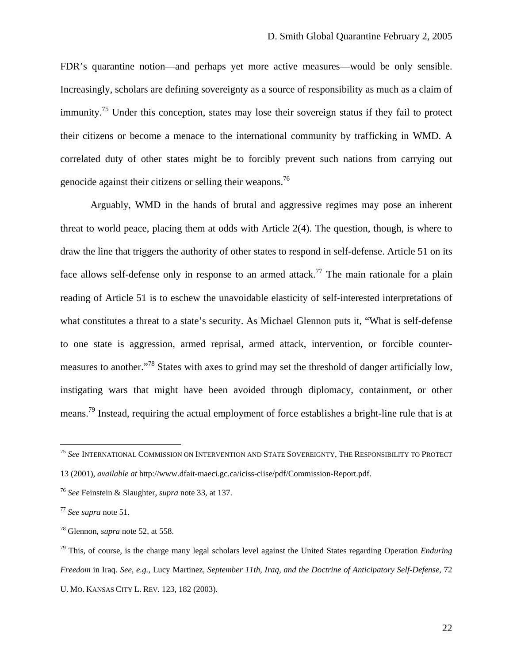FDR's quarantine notion—and perhaps yet more active measures—would be only sensible. Increasingly, scholars are defining sovereignty as a source of responsibility as much as a claim of immunity.[75](#page-21-0) Under this conception, states may lose their sovereign status if they fail to protect their citizens or become a menace to the international community by trafficking in WMD. A correlated duty of other states might be to forcibly prevent such nations from carrying out genocide against their citizens or selling their weapons[.76](#page-21-1) 

Arguably, WMD in the hands of brutal and aggressive regimes may pose an inherent threat to world peace, placing them at odds with Article 2(4). The question, though, is where to draw the line that triggers the authority of other states to respond in self-defense. Article 51 on its face allows self-defense only in response to an armed attack.<sup>77</sup> The main rationale for a plain reading of Article 51 is to eschew the unavoidable elasticity of self-interested interpretations of what constitutes a threat to a state's security. As Michael Glennon puts it, "What is self-defense to one state is aggression, armed reprisal, armed attack, intervention, or forcible countermeasures to another."[78](#page-21-3) States with axes to grind may set the threshold of danger artificially low, instigating wars that might have been avoided through diplomacy, containment, or other means.[79 I](#page-21-4)nstead, requiring the actual employment of force establishes a bright-line rule that is at

<span id="page-21-0"></span><sup>75</sup> *See* INTERNATIONAL COMMISSION ON INTERVENTION AND STATE SOVEREIGNTY, THE RESPONSIBILITY TO PROTECT 13 (2001), *available at* http://www.dfait-maeci.gc.ca/iciss-ciise/pdf/Commission-Report.pdf.

<span id="page-21-1"></span><sup>76</sup> *See* Feinstein & Slaughter, *supra* note 33, at 137.

<span id="page-21-2"></span><sup>77</sup> *See supra* note 51.

<span id="page-21-3"></span><sup>78</sup> Glennon, *supra* note 52, at 558.

<span id="page-21-4"></span><sup>79</sup> This, of course, is the charge many legal scholars level against the United States regarding Operation *Enduring Freedom* in Iraq. *See*, *e.g.*, Lucy Martinez, *September 11th, Iraq, and the Doctrine of Anticipatory Self-Defense*, 72 U. MO. KANSAS CITY L. REV. 123, 182 (2003).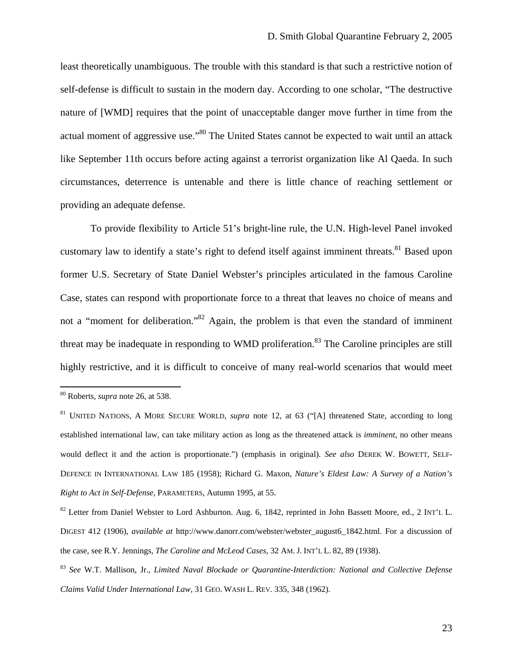least theoretically unambiguous. The trouble with this standard is that such a restrictive notion of self-defense is difficult to sustain in the modern day. According to one scholar, "The destructive nature of [WMD] requires that the point of unacceptable danger move further in time from the actual moment of aggressive use."<sup>80</sup> The United States cannot be expected to wait until an attack like September 11th occurs before acting against a terrorist organization like Al Qaeda. In such circumstances, deterrence is untenable and there is little chance of reaching settlement or providing an adequate defense.

To provide flexibility to Article 51's bright-line rule, the U.N. High-level Panel invoked customary law to identify a state's right to defend itself against imminent threats.<sup>81</sup> Based upon former U.S. Secretary of State Daniel Webster's principles articulated in the famous Caroline Case, states can respond with proportionate force to a threat that leaves no choice of means and not a "moment for deliberation."<sup>82</sup> Again, the problem is that even the standard of imminent threat may be inadequate in responding to WMD proliferation.<sup>83</sup> The Caroline principles are still highly restrictive, and it is difficult to conceive of many real-world scenarios that would meet

<span id="page-22-0"></span><sup>80</sup> Roberts, *supra* note 26, at 538.

<span id="page-22-1"></span><sup>81</sup> UNITED NATIONS, A MORE SECURE WORLD, *supra* note 12, at 63 ("[A] threatened State, according to long established international law, can take military action as long as the threatened attack is *imminent*, no other means would deflect it and the action is proportionate.") (emphasis in original). *See also* DEREK W. BOWETT, SELF-DEFENCE IN INTERNATIONAL LAW 185 (1958); Richard G. Maxon, *Nature's Eldest Law: A Survey of a Nation's Right to Act in Self-Defense*, PARAMETERS, Autumn 1995, at 55.

<span id="page-22-2"></span><sup>&</sup>lt;sup>82</sup> Letter from Daniel Webster to Lord Ashburton. Aug. 6, 1842, reprinted in John Bassett Moore, ed., 2 INT'L L. DIGEST 412 (1906), *available at http://www.danorr.com/webster/webster\_august6\_1842.html. For a discussion of* the case, see R.Y. Jennings, *The Caroline and McLeod Cases*, 32 AM. J. INT'L L. 82, 89 (1938).

<span id="page-22-3"></span><sup>83</sup> *See* W.T. Mallison, Jr., *Limited Naval Blockade or Quarantine-Interdiction: National and Collective Defense Claims Valid Under International Law*, 31 GEO. WASH L. REV. 335, 348 (1962).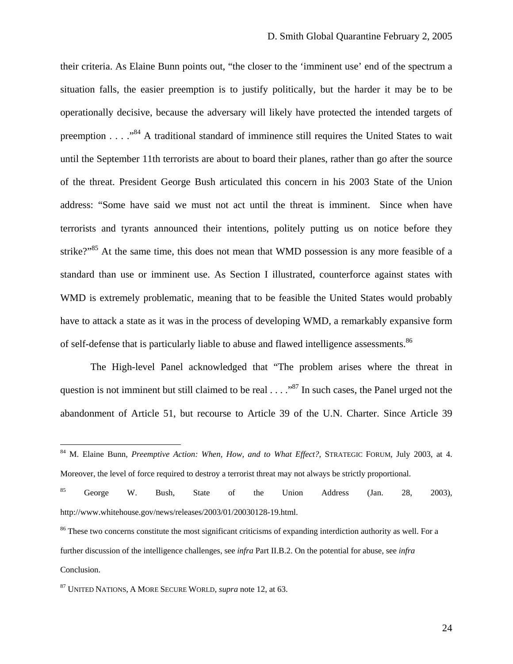their criteria. As Elaine Bunn points out, "the closer to the 'imminent use' end of the spectrum a situation falls, the easier preemption is to justify politically, but the harder it may be to be operationally decisive, because the adversary will likely have protected the intended targets of preemption . . . . "<sup>84</sup> A traditional standard of imminence still requires the United States to wait until the September 11th terrorists are about to board their planes, rather than go after the source of the threat. President George Bush articulated this concern in his 2003 State of the Union address: "Some have said we must not act until the threat is imminent. Since when have terrorists and tyrants announced their intentions, politely putting us on notice before they strike?"<sup>85</sup> At the same time, this does not mean that WMD possession is any more feasible of a standard than use or imminent use. As Section I illustrated, counterforce against states with WMD is extremely problematic, meaning that to be feasible the United States would probably have to attack a state as it was in the process of developing WMD, a remarkably expansive form of self-defense that is particularly liable to abuse and flawed intelligence assessments.<sup>[86](#page-23-2)</sup>

The High-level Panel acknowledged that "The problem arises where the threat in question is not imminent but still claimed to be real  $\ldots$ .  $^{87}$  In such cases, the Panel urged not the abandonment of Article 51, but recourse to Article 39 of the U.N. Charter. Since Article 39

<span id="page-23-0"></span><sup>84</sup> M. Elaine Bunn, *Preemptive Action: When, How, and to What Effect?*, STRATEGIC FORUM, July 2003, at 4. Moreover, the level of force required to destroy a terrorist threat may not always be strictly proportional.

<span id="page-23-1"></span> $85$  George W. Bush, State of the Union Address (Jan. 28, 2003), http://www.whitehouse.gov/news/releases/2003/01/20030128-19.html.

<span id="page-23-2"></span><sup>&</sup>lt;sup>86</sup> These two concerns constitute the most significant criticisms of expanding interdiction authority as well. For a further discussion of the intelligence challenges, see *infra* Part II.B.2. On the potential for abuse, see *infra* Conclusion.

<span id="page-23-3"></span><sup>87</sup> UNITED NATIONS, A MORE SECURE WORLD, *supra* note 12, at 63.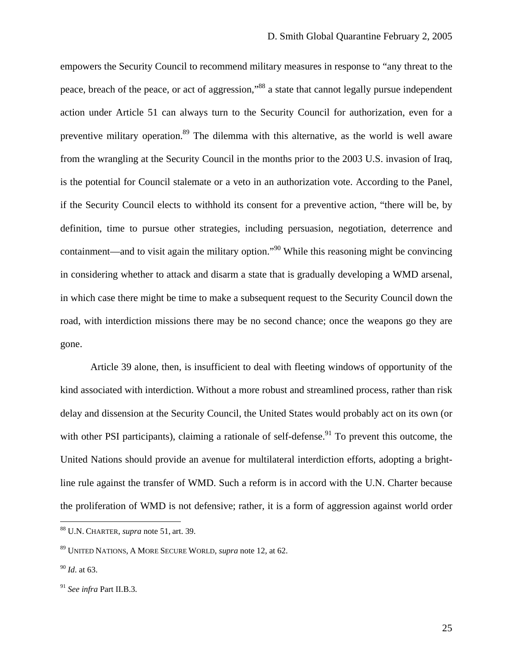empowers the Security Council to recommend military measures in response to "any threat to the peace, breach of the peace, or act of aggression,"[88](#page-24-0) a state that cannot legally pursue independent action under Article 51 can always turn to the Security Council for authorization, even for a preventive military operation.<sup>89</sup> The dilemma with this alternative, as the world is well aware from the wrangling at the Security Council in the months prior to the 2003 U.S. invasion of Iraq, is the potential for Council stalemate or a veto in an authorization vote. According to the Panel, if the Security Council elects to withhold its consent for a preventive action, "there will be, by definition, time to pursue other strategies, including persuasion, negotiation, deterrence and containment—and to visit again the military option.["90](#page-24-2) While this reasoning might be convincing in considering whether to attack and disarm a state that is gradually developing a WMD arsenal, in which case there might be time to make a subsequent request to the Security Council down the road, with interdiction missions there may be no second chance; once the weapons go they are gone.

Article 39 alone, then, is insufficient to deal with fleeting windows of opportunity of the kind associated with interdiction. Without a more robust and streamlined process, rather than risk delay and dissension at the Security Council, the United States would probably act on its own (or with other PSI participants), claiming a rationale of self-defense.<sup>91</sup> To prevent this outcome, the United Nations should provide an avenue for multilateral interdiction efforts, adopting a brightline rule against the transfer of WMD. Such a reform is in accord with the U.N. Charter because the proliferation of WMD is not defensive; rather, it is a form of aggression against world order

<span id="page-24-0"></span><sup>88</sup> U.N. CHARTER, *supra* note 51, art. 39.

<span id="page-24-1"></span><sup>89</sup> UNITED NATIONS, A MORE SECURE WORLD, *supra* note 12, at 62.

<span id="page-24-2"></span><sup>90</sup> *Id*. at 63.

<span id="page-24-3"></span><sup>91</sup> *See infra* Part II.B.3.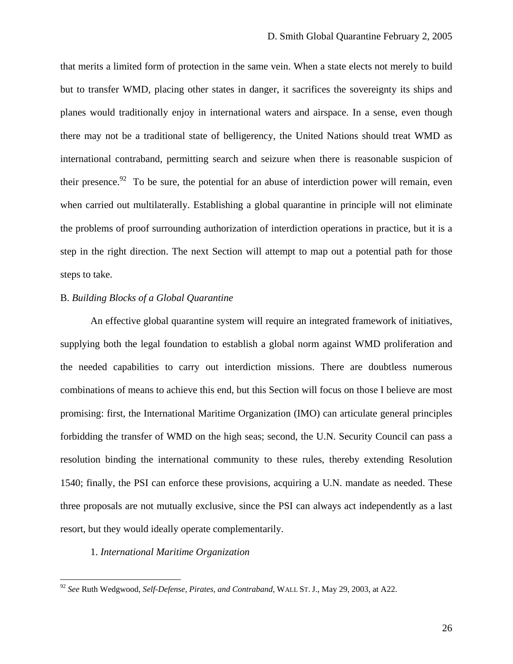<span id="page-25-0"></span>that merits a limited form of protection in the same vein. When a state elects not merely to build but to transfer WMD, placing other states in danger, it sacrifices the sovereignty its ships and planes would traditionally enjoy in international waters and airspace. In a sense, even though there may not be a traditional state of belligerency, the United Nations should treat WMD as international contraband, permitting search and seizure when there is reasonable suspicion of their presence.<sup>92</sup> To be sure, the potential for an abuse of interdiction power will remain, even when carried out multilaterally. Establishing a global quarantine in principle will not eliminate the problems of proof surrounding authorization of interdiction operations in practice, but it is a step in the right direction. The next Section will attempt to map out a potential path for those steps to take.

### B. *Building Blocks of a Global Quarantine*

An effective global quarantine system will require an integrated framework of initiatives, supplying both the legal foundation to establish a global norm against WMD proliferation and the needed capabilities to carry out interdiction missions. There are doubtless numerous combinations of means to achieve this end, but this Section will focus on those I believe are most promising: first, the International Maritime Organization (IMO) can articulate general principles forbidding the transfer of WMD on the high seas; second, the U.N. Security Council can pass a resolution binding the international community to these rules, thereby extending Resolution 1540; finally, the PSI can enforce these provisions, acquiring a U.N. mandate as needed. These three proposals are not mutually exclusive, since the PSI can always act independently as a last resort, but they would ideally operate complementarily.

#### 1. *International Maritime Organization*

<span id="page-25-1"></span><sup>92</sup> *See* Ruth Wedgwood, *Self-Defense, Pirates, and Contraband*, WALL ST. J., May 29, 2003, at A22.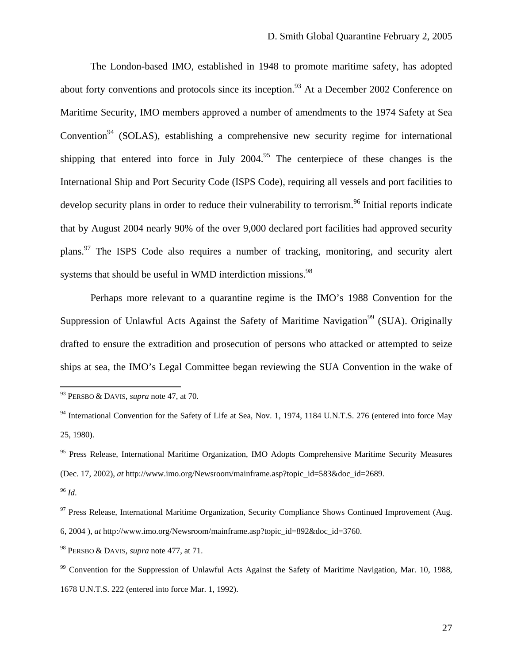The London-based IMO, established in 1948 to promote maritime safety, has adopted about forty conventions and protocols since its inception.<sup>93</sup> At a December 2002 Conference on Maritime Security, IMO members approved a number of amendments to the 1974 Safety at Sea Convention<sup>94</sup> (SOLAS), establishing a comprehensive new security regime for international shipping that entered into force in July  $2004$ .<sup>95</sup> The centerpiece of these changes is the International Ship and Port Security Code (ISPS Code), requiring all vessels and port facilities to develop security plans in order to reduce their vulnerability to terrorism.<sup>96</sup> Initial reports indicate that by August 2004 nearly 90% of the over 9,000 declared port facilities had approved security plans.<sup>97</sup> The ISPS Code also requires a number of tracking, monitoring, and security alert systems that should be useful in WMD interdiction missions.<sup>98</sup>

Perhaps more relevant to a quarantine regime is the IMO's 1988 Convention for the Suppression of Unlawful Acts Against the Safety of Maritime Navigation<sup>99</sup> (SUA). Originally drafted to ensure the extradition and prosecution of persons who attacked or attempted to seize ships at sea, the IMO's Legal Committee began reviewing the SUA Convention in the wake of

- <span id="page-26-4"></span><sup>97</sup> Press Release, International Maritime Organization, Security Compliance Shows Continued Improvement (Aug. 6, 2004 ), *at* http://www.imo.org/Newsroom/mainframe.asp?topic\_id=892&doc\_id=3760.
- <span id="page-26-5"></span>98 PERSBO & DAVIS, *supra* note 477, at 71.

<span id="page-26-0"></span><sup>93</sup> PERSBO & DAVIS, *supra* note 47, at 70.

<span id="page-26-1"></span><sup>&</sup>lt;sup>94</sup> International Convention for the Safety of Life at Sea, Nov. 1, 1974, 1184 U.N.T.S. 276 (entered into force May 25, 1980).

<span id="page-26-2"></span><sup>&</sup>lt;sup>95</sup> Press Release, International Maritime Organization, IMO Adopts Comprehensive Maritime Security Measures (Dec. 17, 2002), *at* http://www.imo.org/Newsroom/mainframe.asp?topic\_id=583&doc\_id=2689.

<span id="page-26-3"></span><sup>96</sup> *Id*.

<span id="page-26-6"></span><sup>&</sup>lt;sup>99</sup> Convention for the Suppression of Unlawful Acts Against the Safety of Maritime Navigation, Mar. 10, 1988, 1678 U.N.T.S. 222 (entered into force Mar. 1, 1992).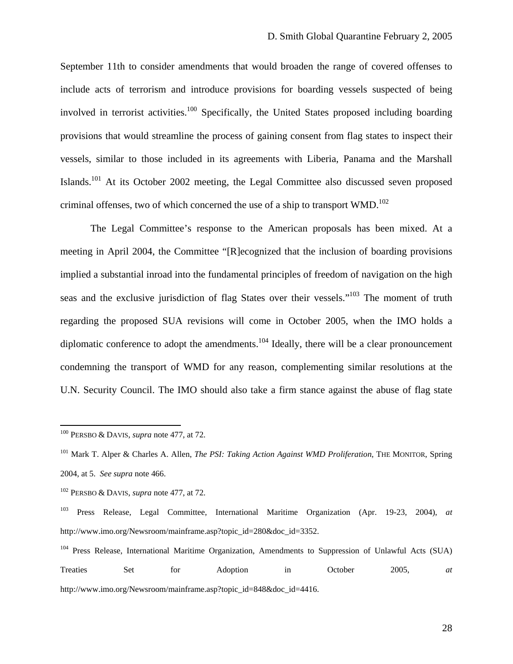September 11th to consider amendments that would broaden the range of covered offenses to include acts of terrorism and introduce provisions for boarding vessels suspected of being involved in terrorist activities.[100](#page-27-0) Specifically, the United States proposed including boarding provisions that would streamline the process of gaining consent from flag states to inspect their vessels, similar to those included in its agreements with Liberia, Panama and the Marshall Islands.<sup>101</sup> At its October 2002 meeting, the Legal Committee also discussed seven proposed criminal offenses, two of which concerned the use of a ship to transport  $WMD$ .<sup>102</sup>

The Legal Committee's response to the American proposals has been mixed. At a meeting in April 2004, the Committee "[R]ecognized that the inclusion of boarding provisions implied a substantial inroad into the fundamental principles of freedom of navigation on the high seas and the exclusive jurisdiction of flag States over their vessels."<sup>103</sup> The moment of truth regarding the proposed SUA revisions will come in October 2005, when the IMO holds a diplomatic conference to adopt the amendments.<sup>104</sup> Ideally, there will be a clear pronouncement condemning the transport of WMD for any reason, complementing similar resolutions at the U.N. Security Council. The IMO should also take a firm stance against the abuse of flag state

<span id="page-27-0"></span><sup>100</sup> PERSBO & DAVIS, *supra* note 477, at 72.

<span id="page-27-1"></span><sup>101</sup> Mark T. Alper & Charles A. Allen, *The PSI: Taking Action Against WMD Proliferation*, THE MONITOR, Spring 2004, at 5. *See supra* note 466.

<span id="page-27-2"></span><sup>102</sup> PERSBO & DAVIS, *supra* note 477, at 72.

<span id="page-27-3"></span><sup>103</sup> Press Release, Legal Committee, International Maritime Organization (Apr. 19-23, 2004), *at* http://www.imo.org/Newsroom/mainframe.asp?topic\_id=280&doc\_id=3352.

<span id="page-27-4"></span><sup>&</sup>lt;sup>104</sup> Press Release, International Maritime Organization, Amendments to Suppression of Unlawful Acts (SUA) Treaties Set for Adoption in October 2005, *at* http://www.imo.org/Newsroom/mainframe.asp?topic\_id=848&doc\_id=4416.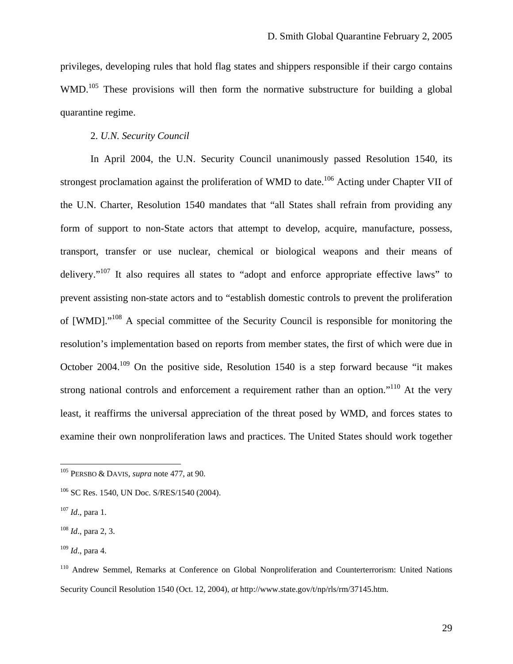<span id="page-28-0"></span>privileges, developing rules that hold flag states and shippers responsible if their cargo contains WMD.<sup>105</sup> These provisions will then form the normative substructure for building a global quarantine regime.

# 2. *U.N. Security Council*

In April 2004, the U.N. Security Council unanimously passed Resolution 1540, its strongest proclamation against the proliferation of WMD to date.<sup>106</sup> Acting under Chapter VII of the U.N. Charter, Resolution 1540 mandates that "all States shall refrain from providing any form of support to non-State actors that attempt to develop, acquire, manufacture, possess, transport, transfer or use nuclear, chemical or biological weapons and their means of delivery."<sup>107</sup> It also requires all states to "adopt and enforce appropriate effective laws" to prevent assisting non-state actors and to "establish domestic controls to prevent the proliferation of [WMD]."<sup>108</sup> A special committee of the Security Council is responsible for monitoring the resolution's implementation based on reports from member states, the first of which were due in October 2004.[109](#page-28-5) On the positive side, Resolution 1540 is a step forward because "it makes strong national controls and enforcement a requirement rather than an option."<sup>110</sup> At the very least, it reaffirms the universal appreciation of the threat posed by WMD, and forces states to examine their own nonproliferation laws and practices. The United States should work together

 $\overline{a}$ 

<span id="page-28-1"></span><sup>105</sup> PERSBO & DAVIS, *supra* note 477, at 90.

<span id="page-28-2"></span><sup>&</sup>lt;sup>106</sup> SC Res. 1540, UN Doc. S/RES/1540 (2004).

<span id="page-28-3"></span><sup>107</sup> *Id*., para 1.

<span id="page-28-4"></span><sup>108</sup> *Id*., para 2, 3.

<span id="page-28-5"></span><sup>109</sup> *Id*., para 4.

<span id="page-28-6"></span><sup>110</sup> Andrew Semmel, Remarks at Conference on Global Nonproliferation and Counterterrorism: United Nations Security Council Resolution 1540 (Oct. 12, 2004), *at* http://www.state.gov/t/np/rls/rm/37145.htm.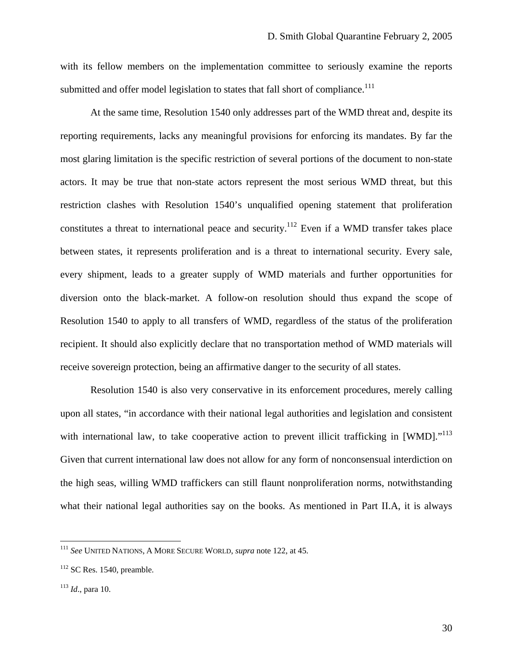with its fellow members on the implementation committee to seriously examine the reports submitted and offer model legislation to states that fall short of compliance.<sup>111</sup>

At the same time, Resolution 1540 only addresses part of the WMD threat and, despite its reporting requirements, lacks any meaningful provisions for enforcing its mandates. By far the most glaring limitation is the specific restriction of several portions of the document to non-state actors. It may be true that non-state actors represent the most serious WMD threat, but this restriction clashes with Resolution 1540's unqualified opening statement that proliferation constitutes a threat to international peace and security.<sup>112</sup> Even if a WMD transfer takes place between states, it represents proliferation and is a threat to international security. Every sale, every shipment, leads to a greater supply of WMD materials and further opportunities for diversion onto the black-market. A follow-on resolution should thus expand the scope of Resolution 1540 to apply to all transfers of WMD, regardless of the status of the proliferation recipient. It should also explicitly declare that no transportation method of WMD materials will receive sovereign protection, being an affirmative danger to the security of all states.

Resolution 1540 is also very conservative in its enforcement procedures, merely calling upon all states, "in accordance with their national legal authorities and legislation and consistent with international law, to take cooperative action to prevent illicit trafficking in  $[WMD]$ ."<sup>113</sup> Given that current international law does not allow for any form of nonconsensual interdiction on the high seas, willing WMD traffickers can still flaunt nonproliferation norms, notwithstanding what their national legal authorities say on the books. As mentioned in Part II.A, it is always

 $\overline{a}$ 

<span id="page-29-0"></span><sup>111</sup> *See* UNITED NATIONS, A MORE SECURE WORLD, *supra* note 122, at 45.

<span id="page-29-1"></span> $112$  SC Res. 1540, preamble.

<span id="page-29-2"></span><sup>113</sup> *Id*., para 10.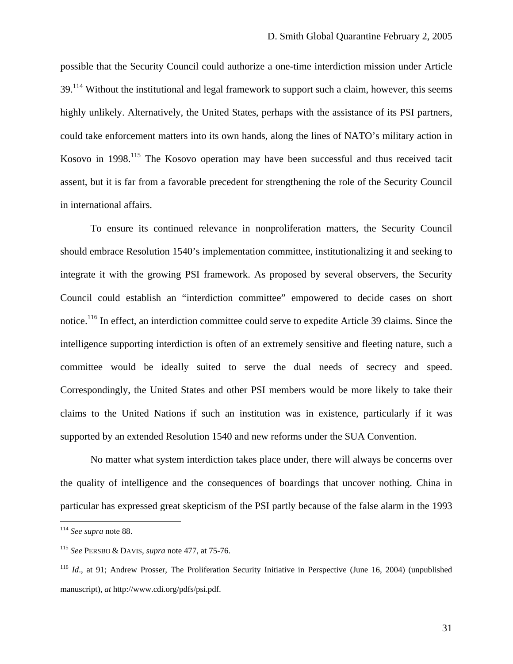possible that the Security Council could authorize a one-time interdiction mission under Article 39.<sup>114</sup> Without the institutional and legal framework to support such a claim, however, this seems highly unlikely. Alternatively, the United States, perhaps with the assistance of its PSI partners, could take enforcement matters into its own hands, along the lines of NATO's military action in Kosovo in 1998.<sup>115</sup> The Kosovo operation may have been successful and thus received tacit assent, but it is far from a favorable precedent for strengthening the role of the Security Council in international affairs.

To ensure its continued relevance in nonproliferation matters, the Security Council should embrace Resolution 1540's implementation committee, institutionalizing it and seeking to integrate it with the growing PSI framework. As proposed by several observers, the Security Council could establish an "interdiction committee" empowered to decide cases on short notice.<sup>116</sup> In effect, an interdiction committee could serve to expedite Article 39 claims. Since the intelligence supporting interdiction is often of an extremely sensitive and fleeting nature, such a committee would be ideally suited to serve the dual needs of secrecy and speed. Correspondingly, the United States and other PSI members would be more likely to take their claims to the United Nations if such an institution was in existence, particularly if it was supported by an extended Resolution 1540 and new reforms under the SUA Convention.

No matter what system interdiction takes place under, there will always be concerns over the quality of intelligence and the consequences of boardings that uncover nothing. China in particular has expressed great skepticism of the PSI partly because of the false alarm in the 1993

<span id="page-30-0"></span><sup>114</sup> *See supra* note 88.

<span id="page-30-1"></span><sup>115</sup> *See* PERSBO & DAVIS, *supra* note 477, at 75-76.

<span id="page-30-2"></span><sup>116</sup> *Id*., at 91; Andrew Prosser, The Proliferation Security Initiative in Perspective (June 16, 2004) (unpublished manuscript), *at* http://www.cdi.org/pdfs/psi.pdf.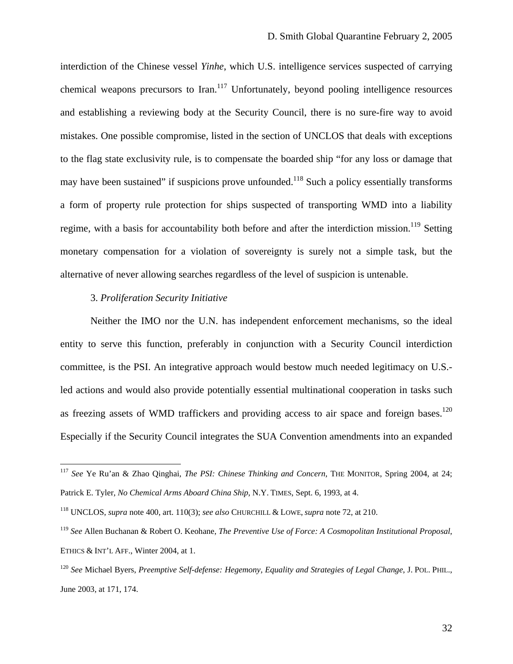<span id="page-31-0"></span>interdiction of the Chinese vessel *Yinhe*, which U.S. intelligence services suspected of carrying chemical weapons precursors to  $\text{Iran.}^{117}$  Unfortunately, beyond pooling intelligence resources and establishing a reviewing body at the Security Council, there is no sure-fire way to avoid mistakes. One possible compromise, listed in the section of UNCLOS that deals with exceptions to the flag state exclusivity rule, is to compensate the boarded ship "for any loss or damage that may have been sustained" if suspicions prove unfounded.<sup>118</sup> Such a policy essentially transforms a form of property rule protection for ships suspected of transporting WMD into a liability regime, with a basis for accountability both before and after the interdiction mission.<sup>119</sup> Setting monetary compensation for a violation of sovereignty is surely not a simple task, but the alternative of never allowing searches regardless of the level of suspicion is untenable.

# 3. *Proliferation Security Initiative*

1

Neither the IMO nor the U.N. has independent enforcement mechanisms, so the ideal entity to serve this function, preferably in conjunction with a Security Council interdiction committee, is the PSI. An integrative approach would bestow much needed legitimacy on U.S. led actions and would also provide potentially essential multinational cooperation in tasks such as freezing assets of WMD traffickers and providing access to air space and foreign bases.<sup>120</sup> Especially if the Security Council integrates the SUA Convention amendments into an expanded

<span id="page-31-1"></span><sup>117</sup> *See* Ye Ru'an & Zhao Qinghai, *The PSI: Chinese Thinking and Concern*, THE MONITOR, Spring 2004, at 24; Patrick E. Tyler, *No Chemical Arms Aboard China Ship*, N.Y. TIMES, Sept. 6, 1993, at 4.

<span id="page-31-2"></span><sup>118</sup> UNCLOS, *supra* note 400, art. 110(3); *see also* CHURCHILL & LOWE, *supra* note 72, at 210.

<span id="page-31-3"></span><sup>119</sup> *See* Allen Buchanan & Robert O. Keohane, *The Preventive Use of Force: A Cosmopolitan Institutional Proposal*, ETHICS & INT'L AFF., Winter 2004, at 1.

<span id="page-31-4"></span><sup>120</sup> *See* Michael Byers, *Preemptive Self-defense: Hegemony, Equality and Strategies of Legal Change*, J. POL. PHIL., June 2003, at 171, 174.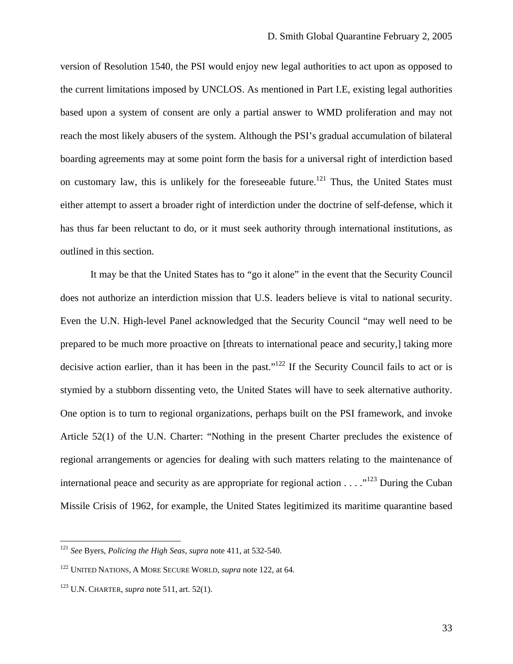version of Resolution 1540, the PSI would enjoy new legal authorities to act upon as opposed to the current limitations imposed by UNCLOS. As mentioned in Part I.E, existing legal authorities based upon a system of consent are only a partial answer to WMD proliferation and may not reach the most likely abusers of the system. Although the PSI's gradual accumulation of bilateral boarding agreements may at some point form the basis for a universal right of interdiction based on customary law, this is unlikely for the foreseeable future.<sup>121</sup> Thus, the United States must either attempt to assert a broader right of interdiction under the doctrine of self-defense, which it has thus far been reluctant to do, or it must seek authority through international institutions, as outlined in this section.

It may be that the United States has to "go it alone" in the event that the Security Council does not authorize an interdiction mission that U.S. leaders believe is vital to national security. Even the U.N. High-level Panel acknowledged that the Security Council "may well need to be prepared to be much more proactive on [threats to international peace and security,] taking more decisive action earlier, than it has been in the past."<sup>122</sup> If the Security Council fails to act or is stymied by a stubborn dissenting veto, the United States will have to seek alternative authority. One option is to turn to regional organizations, perhaps built on the PSI framework, and invoke Article 52(1) of the U.N. Charter: "Nothing in the present Charter precludes the existence of regional arrangements or agencies for dealing with such matters relating to the maintenance of international peace and security as are appropriate for regional action  $\dots$ <sup>123</sup> During the Cuban Missile Crisis of 1962, for example, the United States legitimized its maritime quarantine based

<span id="page-32-0"></span><sup>121</sup> *See* Byers, *Policing the High Seas*, *supra* note 411, at 532-540.

<span id="page-32-1"></span><sup>122</sup> UNITED NATIONS, A MORE SECURE WORLD, *supra* note 122, at 64.

<span id="page-32-2"></span><sup>123</sup> U.N. CHARTER, *supra* note 511, art. 52(1).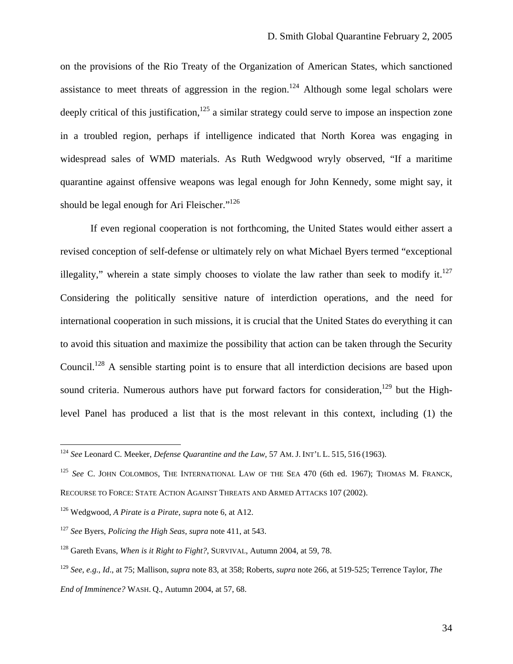on the provisions of the Rio Treaty of the Organization of American States, which sanctioned assistance to meet threats of aggression in the region.<sup>124</sup> Although some legal scholars were deeply critical of this justification,<sup>125</sup> a similar strategy could serve to impose an inspection zone in a troubled region, perhaps if intelligence indicated that North Korea was engaging in widespread sales of WMD materials. As Ruth Wedgwood wryly observed, "If a maritime quarantine against offensive weapons was legal enough for John Kennedy, some might say, it should be legal enough for Ari Fleischer."<sup>[126](#page-33-2)</sup>

If even regional cooperation is not forthcoming, the United States would either assert a revised conception of self-defense or ultimately rely on what Michael Byers termed "exceptional illegality," wherein a state simply chooses to violate the law rather than seek to modify it.<sup>127</sup> Considering the politically sensitive nature of interdiction operations, and the need for international cooperation in such missions, it is crucial that the United States do everything it can to avoid this situation and maximize the possibility that action can be taken through the Security Council.<sup>128</sup> A sensible starting point is to ensure that all interdiction decisions are based upon sound criteria. Numerous authors have put forward factors for consideration, $129$  but the Highlevel Panel has produced a list that is the most relevant in this context, including (1) the

<span id="page-33-0"></span><sup>124</sup> *See* Leonard C. Meeker, *Defense Quarantine and the Law*, 57 AM. J. INT'L L. 515, 516 (1963).

<span id="page-33-1"></span><sup>125</sup> *See* C. JOHN COLOMBOS, THE INTERNATIONAL LAW OF THE SEA 470 (6th ed. 1967); THOMAS M. FRANCK, RECOURSE TO FORCE: STATE ACTION AGAINST THREATS AND ARMED ATTACKS 107 (2002).

<span id="page-33-2"></span><sup>126</sup> Wedgwood, *A Pirate is a Pirate*, *supra* note 6, at A12.

<span id="page-33-3"></span><sup>127</sup> *See* Byers, *Policing the High Seas*, *supra* note 411, at 543.

<span id="page-33-4"></span><sup>128</sup> Gareth Evans, *When is it Right to Fight?*, SURVIVAL, Autumn 2004, at 59, 78.

<span id="page-33-5"></span><sup>129</sup> *See*, *e.g.*, *Id*., at 75; Mallison, *supra* note 83, at 358; Roberts, *supra* note 266, at 519-525; Terrence Taylor, *The End of Imminence?* WASH. Q., Autumn 2004, at 57, 68.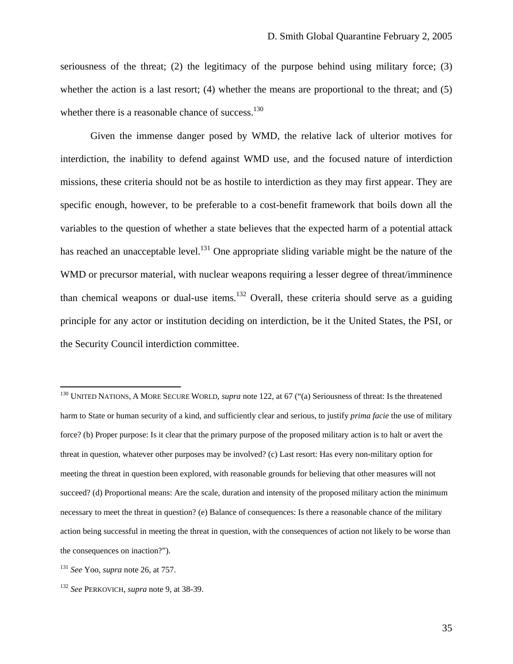seriousness of the threat; (2) the legitimacy of the purpose behind using military force; (3) whether the action is a last resort; (4) whether the means are proportional to the threat; and (5) whether there is a reasonable chance of success. $130$ 

Given the immense danger posed by WMD, the relative lack of ulterior motives for interdiction, the inability to defend against WMD use, and the focused nature of interdiction missions, these criteria should not be as hostile to interdiction as they may first appear. They are specific enough, however, to be preferable to a cost-benefit framework that boils down all the variables to the question of whether a state believes that the expected harm of a potential attack has reached an unacceptable level.<sup>131</sup> One appropriate sliding variable might be the nature of the WMD or precursor material, with nuclear weapons requiring a lesser degree of threat/imminence than chemical weapons or dual-use items.<sup>132</sup> Overall, these criteria should serve as a guiding principle for any actor or institution deciding on interdiction, be it the United States, the PSI, or the Security Council interdiction committee.

<span id="page-34-0"></span><sup>130</sup> UNITED NATIONS, A MORE SECURE WORLD, *supra* note 122, at 67 ("(a) Seriousness of threat: Is the threatened harm to State or human security of a kind, and sufficiently clear and serious, to justify *prima facie* the use of military force? (b) Proper purpose: Is it clear that the primary purpose of the proposed military action is to halt or avert the threat in question, whatever other purposes may be involved? (c) Last resort: Has every non-military option for meeting the threat in question been explored, with reasonable grounds for believing that other measures will not succeed? (d) Proportional means: Are the scale, duration and intensity of the proposed military action the minimum necessary to meet the threat in question? (e) Balance of consequences: Is there a reasonable chance of the military action being successful in meeting the threat in question, with the consequences of action not likely to be worse than the consequences on inaction?").

<span id="page-34-1"></span><sup>131</sup> *See* Yoo, *supra* note 26, at 757.

<span id="page-34-2"></span><sup>132</sup> *See* PERKOVICH, *supra* note 9, at 38-39.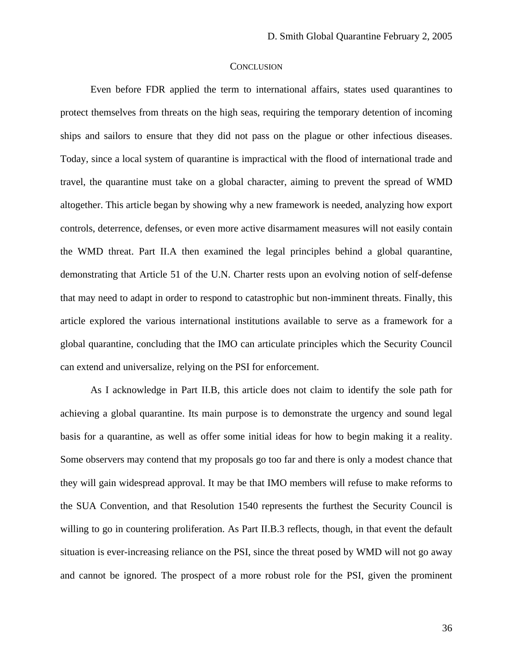#### **CONCLUSION**

<span id="page-35-0"></span>Even before FDR applied the term to international affairs, states used quarantines to protect themselves from threats on the high seas, requiring the temporary detention of incoming ships and sailors to ensure that they did not pass on the plague or other infectious diseases. Today, since a local system of quarantine is impractical with the flood of international trade and travel, the quarantine must take on a global character, aiming to prevent the spread of WMD altogether. This article began by showing why a new framework is needed, analyzing how export controls, deterrence, defenses, or even more active disarmament measures will not easily contain the WMD threat. Part II.A then examined the legal principles behind a global quarantine, demonstrating that Article 51 of the U.N. Charter rests upon an evolving notion of self-defense that may need to adapt in order to respond to catastrophic but non-imminent threats. Finally, this article explored the various international institutions available to serve as a framework for a global quarantine, concluding that the IMO can articulate principles which the Security Council can extend and universalize, relying on the PSI for enforcement.

As I acknowledge in Part II.B, this article does not claim to identify the sole path for achieving a global quarantine. Its main purpose is to demonstrate the urgency and sound legal basis for a quarantine, as well as offer some initial ideas for how to begin making it a reality. Some observers may contend that my proposals go too far and there is only a modest chance that they will gain widespread approval. It may be that IMO members will refuse to make reforms to the SUA Convention, and that Resolution 1540 represents the furthest the Security Council is willing to go in countering proliferation. As Part II.B.3 reflects, though, in that event the default situation is ever-increasing reliance on the PSI, since the threat posed by WMD will not go away and cannot be ignored. The prospect of a more robust role for the PSI, given the prominent